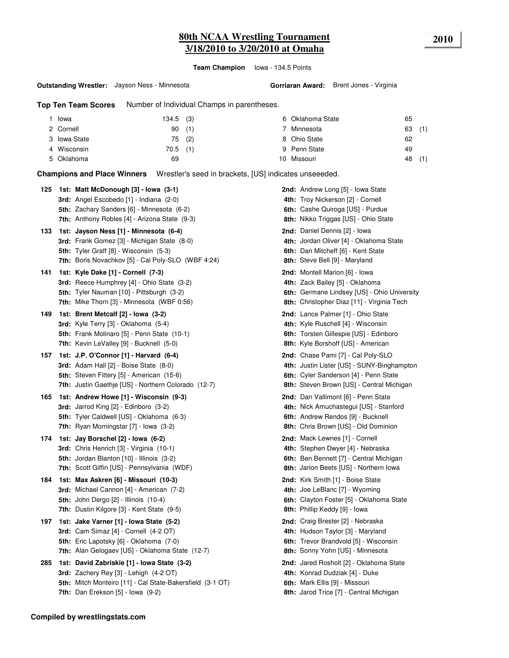## **80th NCAA Wrestling Tournament 2010 3/18/2010 to 3/20/2010 at Omaha**

**Team Champion** Iowa - 134.5 Points

#### **Outstanding Wrestler:** Jayson Ness - Minnesota

**Gorriaran Award:** Brent Jones - Virginia

**Top Ten Team Scores** Number of Individual Champs in parentheses.

| Iowa         | $134.5$ (3) |  | 6 Oklahoma State | 65 |     |
|--------------|-------------|--|------------------|----|-----|
| 2 Cornell    | 90(1)       |  | Minnesota        | 63 | (1) |
| 3 Iowa State | $75$ (2)    |  | 8 Ohio State     | 62 |     |
| 4 Wisconsin  | $70.5$ (1)  |  | 9 Penn State     | 49 |     |
| 5 Oklahoma   | 69          |  | 10 Missouri      | 48 | (1) |

**Champions and Place Winners** Wrestler's seed in brackets, [US] indicates unseeeded.

| 125 | 1st: Matt McDonough [3] - Iowa (3-1)<br><b>3rd:</b> Angel Escobedo [1] - Indiana (2-0)<br>5th: Zachary Sanders [6] - Minnesota (6-2)<br>7th: Anthony Robles [4] - Arizona State (9-3)           | 2nd: Andrew Long [5] - Iowa State<br>4th: Troy Nickerson [2] - Cornell<br>6th: Cashe Quiroga [US] - Purdue<br>8th: Nikko Triggas [US] - Ohio State                     |
|-----|-------------------------------------------------------------------------------------------------------------------------------------------------------------------------------------------------|------------------------------------------------------------------------------------------------------------------------------------------------------------------------|
| 133 | 1st: Jayson Ness [1] - Minnesota (6-4)<br>3rd: Frank Gomez [3] - Michigan State (8-0)<br><b>5th:</b> Tyler Graff [8] - Wisconsin (5-3)<br>7th: Boris Novachkov [5] - Cal Poly-SLO (WBF 4:24)    | <b>2nd:</b> Daniel Dennis [2] - Iowa<br>4th: Jordan Oliver [4] - Oklahoma State<br>6th: Dan Mitcheff [6] - Kent State<br>8th: Steve Bell [9] - Maryland                |
| 141 | 1st: Kyle Dake [1] - Cornell (7-3)<br><b>3rd:</b> Reece Humphrey [4] - Ohio State (3-2)<br>5th: Tyler Nauman [10] - Pittsburgh (3-2)<br><b>7th:</b> Mike Thorn [3] - Minnesota (WBF 0:56)       | <b>2nd:</b> Montell Marion [6] - Iowa<br>4th: Zack Bailey [5] - Oklahoma<br>6th: Germane Lindsey [US] - Ohio University<br>8th: Christopher Diaz [11] - Virginia Tech  |
| 149 | 1st: Brent Metcalf [2] - Iowa (3-2)<br><b>3rd:</b> Kyle Terry [3] - Oklahoma (5-4)<br>5th: Frank Molinaro [5] - Penn State (10-1)<br>7th: Kevin LeValley [9] - Bucknell (5-0)                   | <b>2nd:</b> Lance Palmer [1] - Ohio State<br>4th: Kyle Ruschell [4] - Wisconsin<br>6th: Torsten Gillespie [US] - Edinboro<br>8th: Kyle Borshoff [US] - American        |
| 157 | 1st: J.P. O'Connor [1] - Harvard (6-4)<br><b>3rd:</b> Adam Hall $[2]$ - Boise State $(8-0)$<br>5th: Steven Fittery [5] - American (15-6)<br>7th: Justin Gaethje [US] - Northern Colorado (12-7) | 2nd: Chase Pami [7] - Cal Poly-SLO<br>4th: Justin Lister [US] - SUNY-Binghampton<br>6th: Cyler Sanderson [4] - Penn State<br>8th: Steven Brown [US] - Central Michigan |
| 165 | 1st: Andrew Howe [1] - Wisconsin (9-3)<br><b>3rd:</b> Jarrod King $[2]$ - Edinboro $(3-2)$<br>5th: Tyler Caldwell [US] - Oklahoma (6-3)<br>7th: Ryan Morningstar [7] - Iowa (3-2)               | 2nd: Dan Vallimont [6] - Penn State<br>4th: Nick Amuchastegui [US] - Stanford<br>6th: Andrew Rendos [9] - Bucknell<br>8th: Chris Brown [US] - Old Dominion             |
| 174 | 1st: Jay Borschel [2] - Iowa (6-2)<br>3rd: Chris Henrich [3] - Virginia (10-1)<br>5th: Jordan Blanton [10] - Illinois (3-2)<br>7th: Scott Giffin [US] - Pennsylvania (WDF)                      | <b>2nd:</b> Mack Lewnes [1] - Cornell<br>4th: Stephen Dwyer [4] - Nebraska<br>6th: Ben Bennett [7] - Central Michigan<br>8th: Jarion Beets [US] - Northern Iowa        |
| 184 | 1st: Max Askren [6] - Missouri (10-3)<br>3rd: Michael Cannon [4] - American (7-2)<br><b>5th: John Dergo [2] - Illinois (10-4)</b><br><b>7th:</b> Dustin Kilgore [3] - Kent State (9-5)          | <b>2nd:</b> Kirk Smith [1] - Boise State<br>4th: Joe LeBlanc [7] - Wyoming<br>6th: Clayton Foster [5] - Oklahoma State<br>8th: Phillip Keddy [9] - Iowa                |
| 197 | 1st: Jake Varner [1] - Iowa State (5-2)<br><b>3rd:</b> Cam Simaz [4] - Cornell (4-2 OT)<br>5th: Eric Lapotsky [6] - Oklahoma (7-0)<br>7th: Alan Gelogaev [US] - Oklahoma State (12-7)           | 2nd: Craig Brester [2] - Nebraska<br>4th: Hudson Taylor [3] - Maryland<br>6th: Trevor Brandvold [5] - Wisconsin<br>8th: Sonny Yohn [US] - Minnesota                    |
| 285 | 1st: David Zabriskie [1] - Iowa State (3-2)<br>3rd: Zachery Rey [3] - Lehigh (4-2 OT)<br>5th: Mitch Monteiro [11] - Cal State-Bakersfield (3-1 OT)<br>7th: Dan Erekson $[5]$ - lowa $(9-2)$     | 2nd: Jared Rosholt [2] - Oklahoma State<br>4th: Konrad Dudziak [4] - Duke<br>6th: Mark Ellis [9] - Missouri<br>8th: Jarod Trice [7] - Central Michigan                 |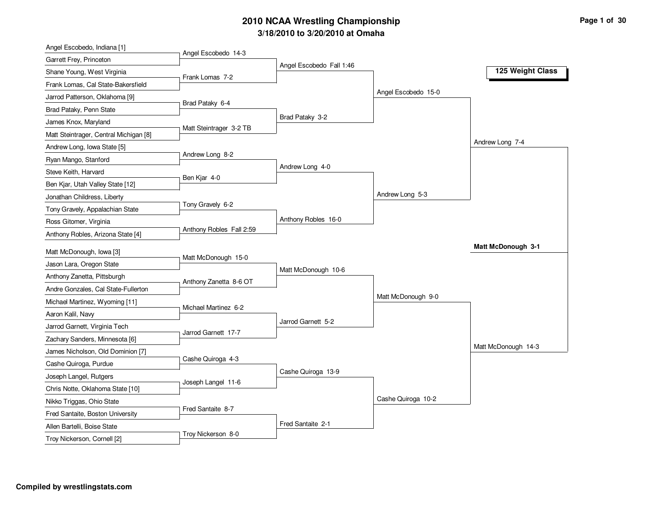## **3/18/2010 to 3/20/2010 at Omaha 2010 NCAA Wrestling Championship Page 1 of 30**

| Angel Escobedo, Indiana [1]                                        |                          |                          |                     |                     |
|--------------------------------------------------------------------|--------------------------|--------------------------|---------------------|---------------------|
| Garrett Frey, Princeton                                            | Angel Escobedo 14-3      |                          |                     |                     |
| Shane Young, West Virginia                                         | Frank Lomas 7-2          | Angel Escobedo Fall 1:46 |                     | 125 Weight Class    |
| Frank Lomas, Cal State-Bakersfield                                 |                          |                          |                     |                     |
| Jarrod Patterson, Oklahoma [9]                                     |                          |                          | Angel Escobedo 15-0 |                     |
| Brad Pataky, Penn State                                            | Brad Pataky 6-4          |                          |                     |                     |
| James Knox, Maryland                                               |                          | Brad Pataky 3-2          |                     |                     |
| Matt Steintrager, Central Michigan [8]                             | Matt Steintrager 3-2 TB  |                          |                     |                     |
| Andrew Long, Iowa State [5]                                        |                          |                          |                     | Andrew Long 7-4     |
| Ryan Mango, Stanford                                               | Andrew Long 8-2          |                          |                     |                     |
| Steve Keith, Harvard                                               |                          | Andrew Long 4-0          |                     |                     |
| Ben Kjar, Utah Valley State [12]                                   | Ben Kjar 4-0             |                          |                     |                     |
| Jonathan Childress, Liberty                                        |                          |                          | Andrew Long 5-3     |                     |
| Tony Gravely, Appalachian State                                    | Tony Gravely 6-2         |                          |                     |                     |
| Ross Gitomer, Virginia                                             |                          | Anthony Robles 16-0      |                     |                     |
| Anthony Robles, Arizona State [4]                                  | Anthony Robles Fall 2:59 |                          |                     |                     |
| Matt McDonough, Iowa [3]                                           |                          |                          |                     | Matt McDonough 3-1  |
| Jason Lara, Oregon State                                           | Matt McDonough 15-0      |                          |                     |                     |
|                                                                    |                          | Matt McDonough 10-6      |                     |                     |
| Anthony Zanetta, Pittsburgh<br>Andre Gonzales, Cal State-Fullerton | Anthony Zanetta 8-6 OT   |                          |                     |                     |
|                                                                    |                          |                          | Matt McDonough 9-0  |                     |
| Michael Martinez, Wyoming [11]                                     | Michael Martinez 6-2     |                          |                     |                     |
| Aaron Kalil, Navy                                                  |                          | Jarrod Garnett 5-2       |                     |                     |
| Jarrod Garnett, Virginia Tech                                      | Jarrod Garnett 17-7      |                          |                     |                     |
| Zachary Sanders, Minnesota [6]                                     |                          |                          |                     | Matt McDonough 14-3 |
| James Nicholson, Old Dominion [7]                                  | Cashe Quiroga 4-3        |                          |                     |                     |
| Cashe Quiroga, Purdue                                              |                          | Cashe Quiroga 13-9       |                     |                     |
| Joseph Langel, Rutgers                                             | Joseph Langel 11-6       |                          |                     |                     |
| Chris Notte, Oklahoma State [10]                                   |                          |                          | Cashe Quiroga 10-2  |                     |
| Nikko Triggas, Ohio State                                          | Fred Santaite 8-7        |                          |                     |                     |
| Fred Santaite, Boston University                                   |                          | Fred Santaite 2-1        |                     |                     |
| Allen Bartelli, Boise State                                        | Troy Nickerson 8-0       |                          |                     |                     |
| Troy Nickerson, Cornell [2]                                        |                          |                          |                     |                     |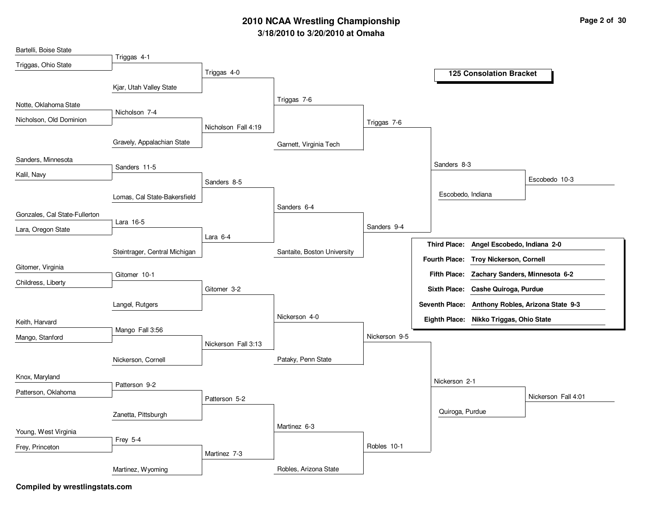# **3/18/2010 to 3/20/2010 at Omaha 2010 NCAA Wrestling Championship Page 2 of 30**

| Bartelli, Boise State         |                               |                     |                             |               |                                                  |
|-------------------------------|-------------------------------|---------------------|-----------------------------|---------------|--------------------------------------------------|
| Triggas, Ohio State           | Triggas 4-1                   |                     |                             |               |                                                  |
|                               |                               | Triggas 4-0         |                             |               | <b>125 Consolation Bracket</b>                   |
|                               | Kjar, Utah Valley State       |                     |                             |               |                                                  |
| Notte, Oklahoma State         |                               |                     | Triggas 7-6                 |               |                                                  |
| Nicholson, Old Dominion       | Nicholson 7-4                 |                     |                             |               |                                                  |
|                               |                               | Nicholson Fall 4:19 |                             | Triggas 7-6   |                                                  |
|                               | Gravely, Appalachian State    |                     | Garnett, Virginia Tech      |               |                                                  |
| Sanders, Minnesota            |                               |                     |                             |               |                                                  |
| Kalil, Navy                   | Sanders 11-5                  |                     |                             |               | Sanders 8-3                                      |
|                               |                               | Sanders 8-5         |                             |               | Escobedo 10-3                                    |
|                               | Lomas, Cal State-Bakersfield  |                     |                             |               | Escobedo, Indiana                                |
| Gonzales, Cal State-Fullerton |                               |                     | Sanders 6-4                 |               |                                                  |
| Lara, Oregon State            | Lara 16-5                     |                     |                             | Sanders 9-4   |                                                  |
|                               |                               | Lara 6-4            |                             |               |                                                  |
|                               | Steintrager, Central Michigan |                     | Santaite, Boston University |               | Third Place: Angel Escobedo, Indiana 2-0         |
| Gitomer, Virginia             |                               |                     |                             |               | Fourth Place: Troy Nickerson, Cornell            |
| Childress, Liberty            | Gitomer 10-1                  |                     |                             |               | Fifth Place: Zachary Sanders, Minnesota 6-2      |
|                               |                               | Gitomer 3-2         |                             |               | Sixth Place: Cashe Quiroga, Purdue               |
|                               | Langel, Rutgers               |                     |                             |               | Seventh Place: Anthony Robles, Arizona State 9-3 |
| Keith, Harvard                |                               |                     | Nickerson 4-0               |               | Eighth Place: Nikko Triggas, Ohio State          |
| Mango, Stanford               | Mango Fall 3:56               |                     |                             | Nickerson 9-5 |                                                  |
|                               |                               | Nickerson Fall 3:13 |                             |               |                                                  |
|                               | Nickerson, Cornell            |                     | Pataky, Penn State          |               |                                                  |
| Knox, Maryland                |                               |                     |                             |               |                                                  |
| Patterson, Oklahoma           | Patterson 9-2                 |                     |                             |               | Nickerson 2-1                                    |
|                               |                               | Patterson 5-2       |                             |               | Nickerson Fall 4:01                              |
|                               | Zanetta, Pittsburgh           |                     |                             |               | Quiroga, Purdue                                  |
| Young, West Virginia          |                               |                     | Martinez 6-3                |               |                                                  |
|                               | Frey 5-4                      |                     |                             |               |                                                  |
| Frey, Princeton               |                               | Martinez 7-3        |                             | Robles 10-1   |                                                  |
|                               | Martinez, Wyoming             |                     | Robles, Arizona State       |               |                                                  |
|                               |                               |                     |                             |               |                                                  |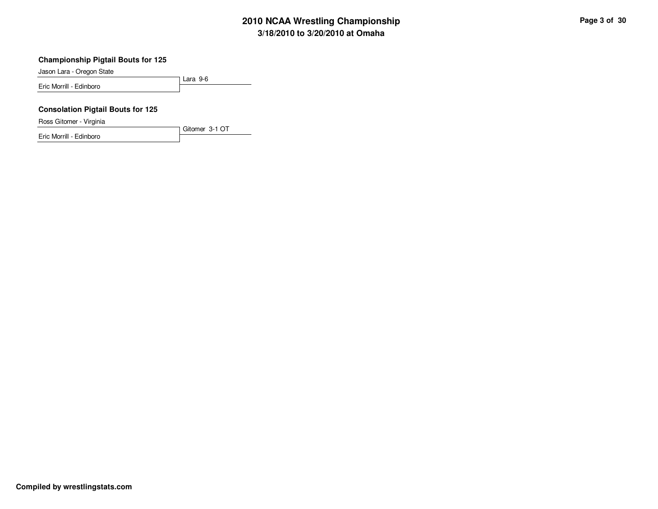# **3/18/2010 to 3/20/2010 at Omaha 2010 NCAA Wrestling Championship Page 3 of 30**

#### **Championship Pigtail Bouts for 125**

Jason Lara - Oregon State

Lara 9-6 Eric Morrill - Edinboro

Gitomer 3-1 OT

### **Consolation Pigtail Bouts for 125**

Ross Gitomer - Virginia

Eric Morrill - Edinboro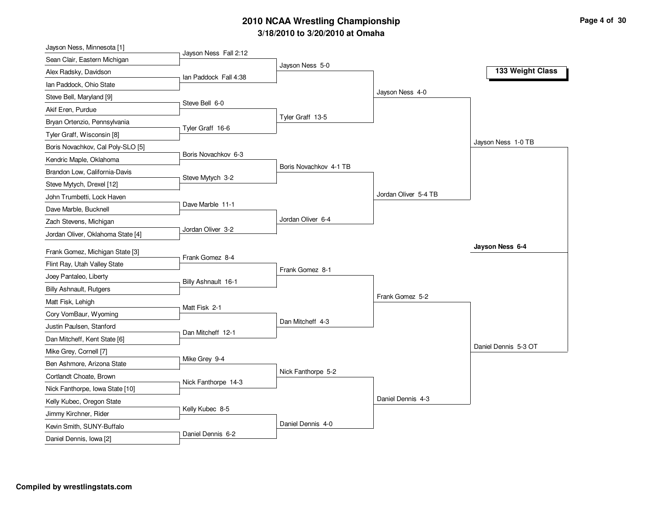## **3/18/2010 to 3/20/2010 at Omaha 2010 NCAA Wrestling Championship Page 4 of 30**

| Jayson Ness, Minnesota [1]        |                       |                        |                      |                      |
|-----------------------------------|-----------------------|------------------------|----------------------|----------------------|
| Sean Clair, Eastern Michigan      | Jayson Ness Fall 2:12 |                        |                      |                      |
| Alex Radsky, Davidson             | Ian Paddock Fall 4:38 | Jayson Ness 5-0        |                      | 133 Weight Class     |
| Ian Paddock, Ohio State           |                       |                        |                      |                      |
| Steve Bell, Maryland [9]          |                       |                        | Jayson Ness 4-0      |                      |
| Akif Eren, Purdue                 | Steve Bell 6-0        |                        |                      |                      |
| Bryan Ortenzio, Pennsylvania      |                       | Tyler Graff 13-5       |                      |                      |
| Tyler Graff, Wisconsin [8]        | Tyler Graff 16-6      |                        |                      |                      |
| Boris Novachkov, Cal Poly-SLO [5] |                       |                        |                      | Jayson Ness 1-0 TB   |
| Kendric Maple, Oklahoma           | Boris Novachkov 6-3   |                        |                      |                      |
| Brandon Low, California-Davis     |                       | Boris Novachkov 4-1 TB |                      |                      |
| Steve Mytych, Drexel [12]         | Steve Mytych 3-2      |                        |                      |                      |
| John Trumbetti, Lock Haven        |                       |                        | Jordan Oliver 5-4 TB |                      |
| Dave Marble, Bucknell             | Dave Marble 11-1      |                        |                      |                      |
| Zach Stevens, Michigan            |                       | Jordan Oliver 6-4      |                      |                      |
| Jordan Oliver, Oklahoma State [4] | Jordan Oliver 3-2     |                        |                      |                      |
| Frank Gomez, Michigan State [3]   |                       |                        |                      | Jayson Ness 6-4      |
| Flint Ray, Utah Valley State      | Frank Gomez 8-4       |                        |                      |                      |
| Joey Pantaleo, Liberty            |                       | Frank Gomez 8-1        |                      |                      |
| <b>Billy Ashnault, Rutgers</b>    | Billy Ashnault 16-1   |                        |                      |                      |
| Matt Fisk, Lehigh                 |                       |                        | Frank Gomez 5-2      |                      |
| Cory VomBaur, Wyoming             | Matt Fisk 2-1         |                        |                      |                      |
| Justin Paulsen, Stanford          |                       | Dan Mitcheff 4-3       |                      |                      |
| Dan Mitcheff, Kent State [6]      | Dan Mitcheff 12-1     |                        |                      |                      |
| Mike Grey, Cornell [7]            |                       |                        |                      | Daniel Dennis 5-3 OT |
| Ben Ashmore, Arizona State        | Mike Grey 9-4         |                        |                      |                      |
| Cortlandt Choate, Brown           |                       | Nick Fanthorpe 5-2     |                      |                      |
| Nick Fanthorpe, Iowa State [10]   | Nick Fanthorpe 14-3   |                        |                      |                      |
| Kelly Kubec, Oregon State         |                       |                        | Daniel Dennis 4-3    |                      |
| Jimmy Kirchner, Rider             | Kelly Kubec 8-5       |                        |                      |                      |
| Kevin Smith, SUNY-Buffalo         |                       |                        |                      |                      |
|                                   |                       | Daniel Dennis 4-0      |                      |                      |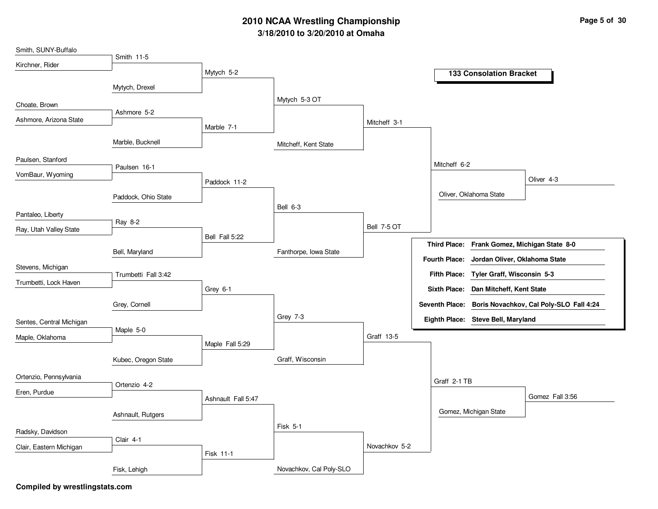## **3/18/2010 to 3/20/2010 at Omaha 2010 NCAA Wrestling Championship Page 5 of 30**

| Smith, SUNY-Buffalo      |                     |                    |                         |                    |                                                        |
|--------------------------|---------------------|--------------------|-------------------------|--------------------|--------------------------------------------------------|
| Kirchner, Rider          | Smith 11-5          |                    |                         |                    |                                                        |
|                          |                     | Mytych 5-2         |                         |                    | <b>133 Consolation Bracket</b>                         |
|                          | Mytych, Drexel      |                    |                         |                    |                                                        |
| Choate, Brown            |                     |                    | Mytych 5-3 OT           |                    |                                                        |
| Ashmore, Arizona State   | Ashmore 5-2         |                    |                         |                    |                                                        |
|                          |                     | Marble 7-1         |                         | Mitcheff 3-1       |                                                        |
|                          | Marble, Bucknell    |                    | Mitcheff, Kent State    |                    |                                                        |
| Paulsen, Stanford        |                     |                    |                         |                    |                                                        |
| VomBaur, Wyoming         | Paulsen 16-1        |                    |                         |                    | Mitcheff 6-2                                           |
|                          |                     | Paddock 11-2       |                         |                    | Oliver 4-3                                             |
|                          | Paddock, Ohio State |                    |                         |                    | Oliver, Oklahoma State                                 |
| Pantaleo, Liberty        |                     |                    | Bell 6-3                |                    |                                                        |
|                          | Ray 8-2             |                    |                         | <b>Bell 7-5 OT</b> |                                                        |
| Ray, Utah Valley State   |                     | Bell Fall 5:22     |                         |                    |                                                        |
|                          | Bell, Maryland      |                    | Fanthorpe, Iowa State   |                    | Third Place: Frank Gomez, Michigan State 8-0           |
| Stevens, Michigan        |                     |                    |                         |                    | <b>Fourth Place:</b><br>Jordan Oliver, Oklahoma State  |
| Trumbetti, Lock Haven    | Trumbetti Fall 3:42 |                    |                         |                    | Fifth Place: Tyler Graff, Wisconsin 5-3                |
|                          |                     | Grey 6-1           |                         |                    | Sixth Place: Dan Mitcheff, Kent State                  |
|                          | Grey, Cornell       |                    |                         |                    | Seventh Place: Boris Novachkov, Cal Poly-SLO Fall 4:24 |
| Sentes, Central Michigan |                     |                    | Grey 7-3                |                    | Eighth Place: Steve Bell, Maryland                     |
| Maple, Oklahoma          | Maple 5-0           |                    |                         | Graff 13-5         |                                                        |
|                          |                     | Maple Fall 5:29    |                         |                    |                                                        |
|                          | Kubec, Oregon State |                    | Graff, Wisconsin        |                    |                                                        |
| Ortenzio, Pennsylvania   |                     |                    |                         |                    | Graff 2-1 TB                                           |
| Eren, Purdue             | Ortenzio 4-2        |                    |                         |                    |                                                        |
|                          |                     | Ashnault Fall 5:47 |                         |                    | Gomez Fall 3:56                                        |
|                          | Ashnault, Rutgers   |                    |                         |                    | Gomez, Michigan State                                  |
| Radsky, Davidson         |                     |                    | <b>Fisk 5-1</b>         |                    |                                                        |
|                          | Clair 4-1           |                    |                         | Novachkov 5-2      |                                                        |
| Clair, Eastern Michigan  |                     | Fisk 11-1          |                         |                    |                                                        |
|                          | Fisk, Lehigh        |                    | Novachkov, Cal Poly-SLO |                    |                                                        |
|                          |                     |                    |                         |                    |                                                        |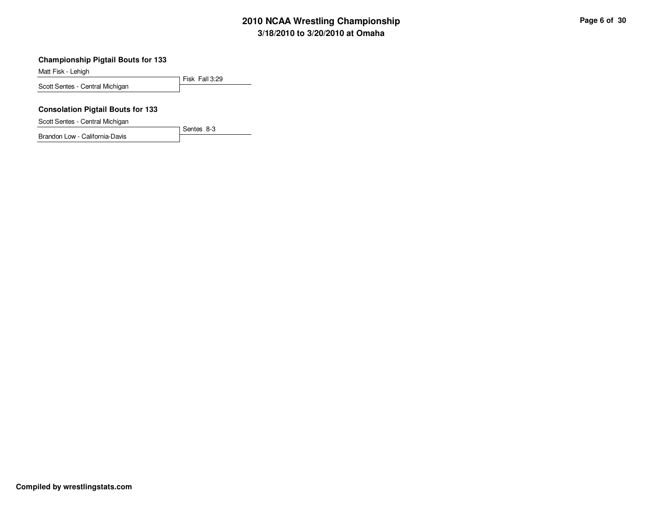# **3/18/2010 to 3/20/2010 at Omaha 2010 NCAA Wrestling Championship Page 6 of 30**

#### **Championship Pigtail Bouts for 133**

Matt Fisk - Lehigh

Fisk Fall 3:29 Scott Sentes - Central Michigan

### **Consolation Pigtail Bouts for 133**

Scott Sentes - Central Michigan

Brandon Low - California-Davis

Sentes 8-3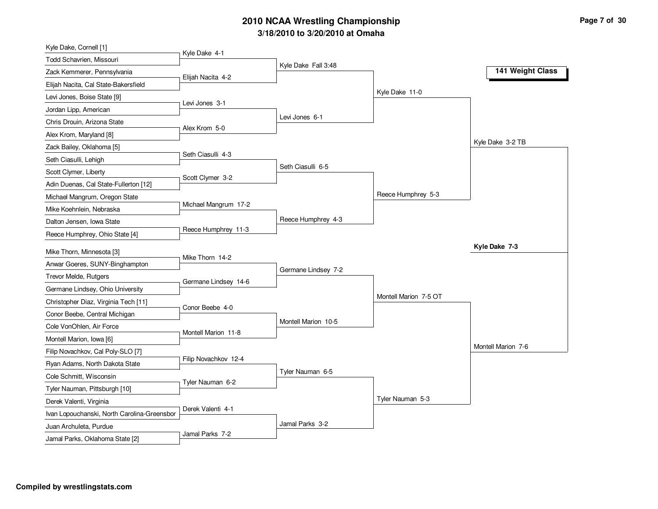# **3/18/2010 to 3/20/2010 at Omaha 2010 NCAA Wrestling Championship Page 7 of 30**

| Kyle Dake, Cornell [1]                      |                      |                     |                       |                    |
|---------------------------------------------|----------------------|---------------------|-----------------------|--------------------|
| <b>Todd Schavrien, Missouri</b>             | Kyle Dake 4-1        |                     |                       |                    |
| Zack Kemmerer, Pennsylvania                 | Elijah Nacita 4-2    | Kyle Dake Fall 3:48 |                       | 141 Weight Class   |
| Elijah Nacita, Cal State-Bakersfield        |                      |                     |                       |                    |
| Levi Jones, Boise State [9]                 |                      |                     | Kyle Dake 11-0        |                    |
| Jordan Lipp, American                       | Levi Jones 3-1       |                     |                       |                    |
| Chris Drouin, Arizona State                 | Alex Krom 5-0        | Levi Jones 6-1      |                       |                    |
| Alex Krom, Maryland [8]                     |                      |                     |                       |                    |
| Zack Bailey, Oklahoma [5]                   |                      |                     |                       | Kyle Dake 3-2 TB   |
| Seth Ciasulli, Lehigh                       | Seth Ciasulli 4-3    |                     |                       |                    |
| Scott Clymer, Liberty                       | Scott Clymer 3-2     | Seth Ciasulli 6-5   |                       |                    |
| Adin Duenas, Cal State-Fullerton [12]       |                      |                     |                       |                    |
| Michael Mangrum, Oregon State               |                      |                     | Reece Humphrey 5-3    |                    |
| Mike Koehnlein, Nebraska                    | Michael Mangrum 17-2 |                     |                       |                    |
| Dalton Jensen, Iowa State                   |                      | Reece Humphrey 4-3  |                       |                    |
| Reece Humphrey, Ohio State [4]              | Reece Humphrey 11-3  |                     |                       |                    |
| Mike Thorn, Minnesota [3]                   |                      |                     |                       | Kyle Dake 7-3      |
| Anwar Goeres, SUNY-Binghampton              | Mike Thorn 14-2      |                     |                       |                    |
| Trevor Melde, Rutgers                       |                      | Germane Lindsey 7-2 |                       |                    |
| Germane Lindsey, Ohio University            | Germane Lindsey 14-6 |                     |                       |                    |
| Christopher Diaz, Virginia Tech [11]        |                      |                     | Montell Marion 7-5 OT |                    |
| Conor Beebe, Central Michigan               | Conor Beebe 4-0      |                     |                       |                    |
| Cole VonOhlen, Air Force                    |                      | Montell Marion 10-5 |                       |                    |
| Montell Marion, Iowa [6]                    | Montell Marion 11-8  |                     |                       |                    |
| Filip Novachkov, Cal Poly-SLO [7]           |                      |                     |                       | Montell Marion 7-6 |
| Ryan Adams, North Dakota State              | Filip Novachkov 12-4 |                     |                       |                    |
| Cole Schmitt, Wisconsin                     |                      | Tyler Nauman 6-5    |                       |                    |
| Tyler Nauman, Pittsburgh [10]               | Tyler Nauman 6-2     |                     |                       |                    |
| Derek Valenti, Virginia                     |                      |                     | Tyler Nauman 5-3      |                    |
| Ivan Lopouchanski, North Carolina-Greensbor | Derek Valenti 4-1    |                     |                       |                    |
| Juan Archuleta, Purdue                      |                      | Jamal Parks 3-2     |                       |                    |
| Jamal Parks, Oklahoma State [2]             | Jamal Parks 7-2      |                     |                       |                    |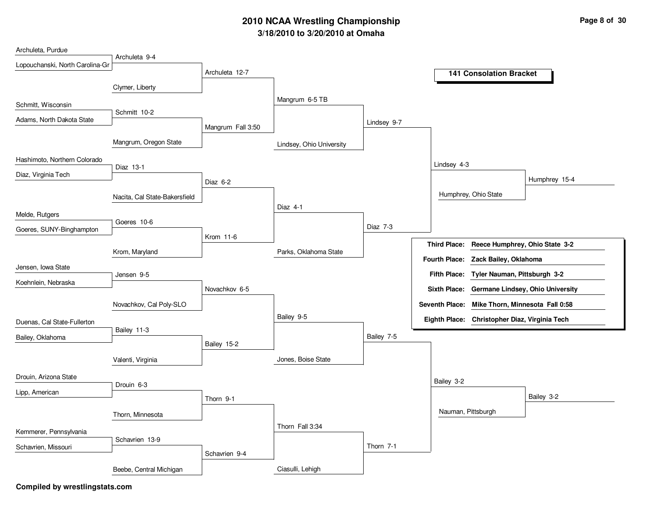# **3/18/2010 to 3/20/2010 at Omaha 2010 NCAA Wrestling Championship Page 8 of 30**

| Archuleta, Purdue               |                               |                   |                          |             |                    |                                                |               |
|---------------------------------|-------------------------------|-------------------|--------------------------|-------------|--------------------|------------------------------------------------|---------------|
| Lopouchanski, North Carolina-Gr | Archuleta 9-4                 |                   |                          |             |                    |                                                |               |
|                                 |                               | Archuleta 12-7    |                          |             |                    | <b>141 Consolation Bracket</b>                 |               |
|                                 | Clymer, Liberty               |                   |                          |             |                    |                                                |               |
|                                 |                               |                   | Mangrum 6-5 TB           |             |                    |                                                |               |
| Schmitt, Wisconsin              | Schmitt 10-2                  |                   |                          |             |                    |                                                |               |
| Adams, North Dakota State       |                               | Mangrum Fall 3:50 |                          | Lindsey 9-7 |                    |                                                |               |
|                                 |                               |                   |                          |             |                    |                                                |               |
|                                 | Mangrum, Oregon State         |                   | Lindsey, Ohio University |             |                    |                                                |               |
| Hashimoto, Northern Colorado    |                               |                   |                          |             |                    |                                                |               |
| Diaz, Virginia Tech             | Diaz 13-1                     |                   |                          |             | Lindsey 4-3        |                                                |               |
|                                 |                               | Diaz 6-2          |                          |             |                    |                                                | Humphrey 15-4 |
|                                 | Nacita, Cal State-Bakersfield |                   |                          |             |                    | Humphrey, Ohio State                           |               |
|                                 |                               |                   | Diaz 4-1                 |             |                    |                                                |               |
| Melde, Rutgers                  | Goeres 10-6                   |                   |                          |             |                    |                                                |               |
| Goeres, SUNY-Binghampton        |                               |                   |                          | Diaz 7-3    |                    |                                                |               |
|                                 |                               | Krom 11-6         |                          |             |                    | Third Place: Reece Humphrey, Ohio State 3-2    |               |
|                                 | Krom, Maryland                |                   | Parks, Oklahoma State    |             |                    | Fourth Place: Zack Bailey, Oklahoma            |               |
| Jensen, Iowa State              |                               |                   |                          |             |                    |                                                |               |
| Koehnlein, Nebraska             | Jensen 9-5                    |                   |                          |             |                    | Fifth Place: Tyler Nauman, Pittsburgh 3-2      |               |
|                                 |                               | Novachkov 6-5     |                          |             |                    | Sixth Place: Germane Lindsey, Ohio University  |               |
|                                 | Novachkov, Cal Poly-SLO       |                   |                          |             |                    | Seventh Place: Mike Thorn, Minnesota Fall 0:58 |               |
|                                 |                               |                   | Bailey 9-5               |             |                    | Eighth Place: Christopher Diaz, Virginia Tech  |               |
| Duenas, Cal State-Fullerton     | Bailey 11-3                   |                   |                          |             |                    |                                                |               |
| Bailey, Oklahoma                |                               | Bailey 15-2       |                          | Bailey 7-5  |                    |                                                |               |
|                                 |                               |                   |                          |             |                    |                                                |               |
|                                 | Valenti, Virginia             |                   | Jones, Boise State       |             |                    |                                                |               |
| Drouin, Arizona State           |                               |                   |                          |             |                    |                                                |               |
| Lipp, American                  | Drouin 6-3                    |                   |                          |             | Bailey 3-2         |                                                |               |
|                                 |                               | Thorn 9-1         |                          |             |                    |                                                | Bailey 3-2    |
|                                 | Thorn, Minnesota              |                   |                          |             | Nauman, Pittsburgh |                                                |               |
|                                 |                               |                   | Thorn Fall 3:34          |             |                    |                                                |               |
| Kemmerer, Pennsylvania          | Schavrien 13-9                |                   |                          |             |                    |                                                |               |
| Schavrien, Missouri             |                               |                   |                          | Thorn 7-1   |                    |                                                |               |
|                                 |                               | Schavrien 9-4     |                          |             |                    |                                                |               |
|                                 | Beebe, Central Michigan       |                   | Ciasulli, Lehigh         |             |                    |                                                |               |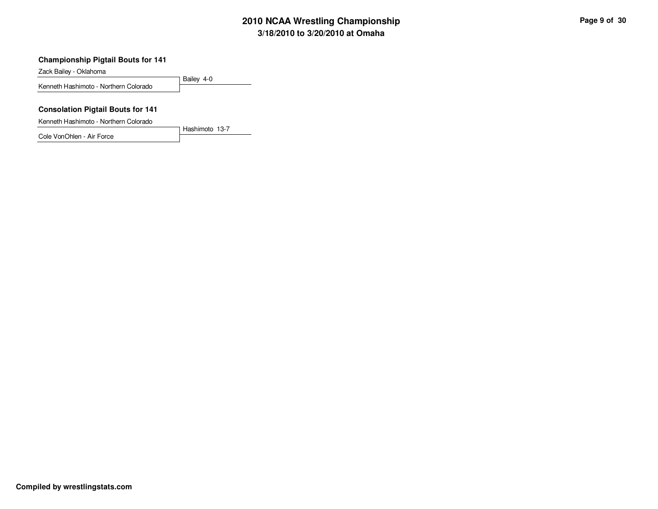# **3/18/2010 to 3/20/2010 at Omaha 2010 NCAA Wrestling Championship Page 9 of 30**

### **Championship Pigtail Bouts for 141**

Zack Bailey - Oklahoma

Bailey 4-0 Kenneth Hashimoto - Northern Colorado

### **Consolation Pigtail Bouts for 141**

Kenneth Hashimoto - Northern Colorado

Cole VonOhlen - Air Force

Hashimoto 13-7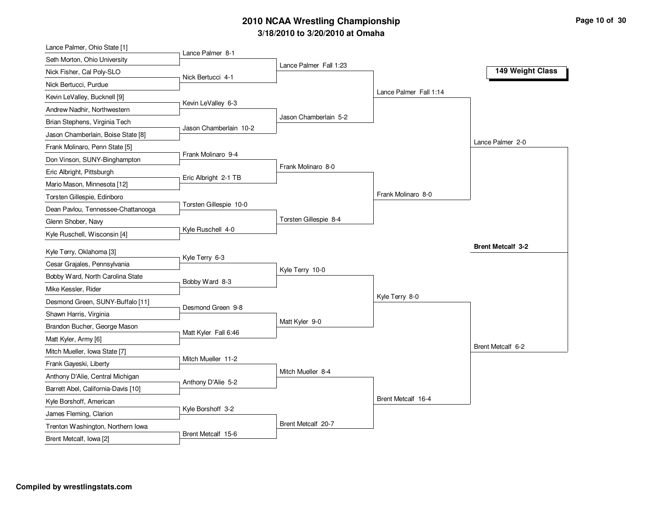# **3/18/2010 to 3/20/2010 at Omaha 2010 NCAA Wrestling Championship Page 10 of 30 Page 10 of 30**

| Lance Palmer, Ohio State [1]        |                        |                        |                        |                          |
|-------------------------------------|------------------------|------------------------|------------------------|--------------------------|
| Seth Morton, Ohio University        | Lance Palmer 8-1       |                        |                        |                          |
| Nick Fisher, Cal Poly-SLO           | Nick Bertucci 4-1      | Lance Palmer Fall 1:23 |                        | 149 Weight Class         |
| Nick Bertucci, Purdue               |                        |                        |                        |                          |
| Kevin LeValley, Bucknell [9]        |                        |                        | Lance Palmer Fall 1:14 |                          |
| Andrew Nadhir, Northwestern         | Kevin LeValley 6-3     |                        |                        |                          |
| Brian Stephens, Virginia Tech       |                        | Jason Chamberlain 5-2  |                        |                          |
| Jason Chamberlain, Boise State [8]  | Jason Chamberlain 10-2 |                        |                        |                          |
| Frank Molinaro, Penn State [5]      |                        |                        |                        | Lance Palmer 2-0         |
| Don Vinson, SUNY-Binghampton        | Frank Molinaro 9-4     |                        |                        |                          |
| Eric Albright, Pittsburgh           |                        | Frank Molinaro 8-0     |                        |                          |
| Mario Mason, Minnesota [12]         | Eric Albright 2-1 TB   |                        |                        |                          |
| Torsten Gillespie, Edinboro         |                        |                        | Frank Molinaro 8-0     |                          |
| Dean Pavlou, Tennessee-Chattanooga  | Torsten Gillespie 10-0 |                        |                        |                          |
| Glenn Shober, Navy                  |                        | Torsten Gillespie 8-4  |                        |                          |
| Kyle Ruschell, Wisconsin [4]        | Kyle Ruschell 4-0      |                        |                        |                          |
| Kyle Terry, Oklahoma [3]            |                        |                        |                        | <b>Brent Metcalf 3-2</b> |
|                                     | Kyle Terry 6-3         |                        |                        |                          |
| Cesar Grajales, Pennsylvania        |                        | Kyle Terry 10-0        |                        |                          |
| Bobby Ward, North Carolina State    | Bobby Ward 8-3         |                        |                        |                          |
| Mike Kessler, Rider                 |                        |                        |                        |                          |
|                                     |                        |                        | Kyle Terry 8-0         |                          |
| Desmond Green, SUNY-Buffalo [11]    | Desmond Green 9-8      |                        |                        |                          |
| Shawn Harris, Virginia              |                        | Matt Kyler 9-0         |                        |                          |
| Brandon Bucher, George Mason        | Matt Kyler Fall 6:46   |                        |                        |                          |
| Matt Kyler, Army [6]                |                        |                        |                        | Brent Metcalf 6-2        |
| Mitch Mueller, Iowa State [7]       | Mitch Mueller 11-2     |                        |                        |                          |
| Frank Gayeski, Liberty              |                        | Mitch Mueller 8-4      |                        |                          |
| Anthony D'Alie, Central Michigan    | Anthony D'Alie 5-2     |                        |                        |                          |
| Barrett Abel, California-Davis [10] |                        |                        |                        |                          |
| Kyle Borshoff, American             |                        |                        | Brent Metcalf 16-4     |                          |
| James Fleming, Clarion              | Kyle Borshoff 3-2      |                        |                        |                          |
| Trenton Washington, Northern Iowa   | Brent Metcalf 15-6     | Brent Metcalf 20-7     |                        |                          |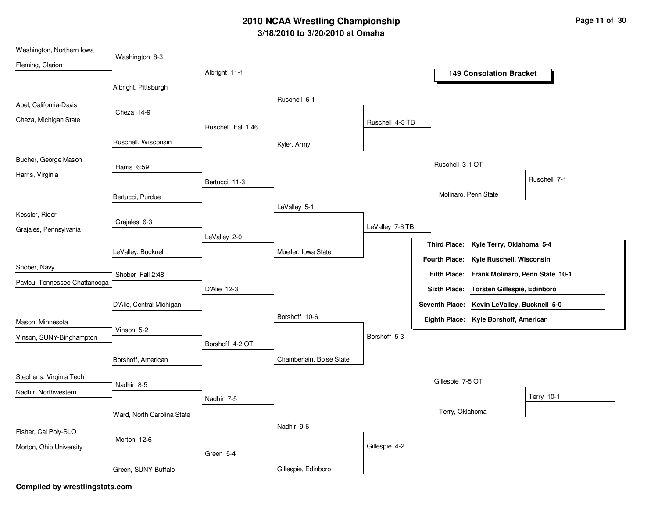## **3/18/2010 to 3/20/2010 at Omaha 2010 NCAA Wrestling Championship Page 11 of 30**

| Washington, Northern Iowa     |                            |                    |                          |                 |                  |                                              |              |
|-------------------------------|----------------------------|--------------------|--------------------------|-----------------|------------------|----------------------------------------------|--------------|
| Fleming, Clarion              | Washington 8-3             |                    |                          |                 |                  |                                              |              |
|                               |                            | Albright 11-1      |                          |                 |                  | <b>149 Consolation Bracket</b>               |              |
|                               | Albright, Pittsburgh       |                    |                          |                 |                  |                                              |              |
|                               |                            |                    | Ruschell 6-1             |                 |                  |                                              |              |
| Abel, California-Davis        | Cheza 14-9                 |                    |                          |                 |                  |                                              |              |
| Cheza, Michigan State         |                            | Ruschell Fall 1:46 |                          | Ruschell 4-3 TB |                  |                                              |              |
|                               |                            |                    |                          |                 |                  |                                              |              |
|                               | Ruschell, Wisconsin        |                    | Kyler, Army              |                 |                  |                                              |              |
| Bucher, George Mason          |                            |                    |                          |                 | Ruschell 3-1 OT  |                                              |              |
| Harris, Virginia              | Harris 6:59                |                    |                          |                 |                  |                                              |              |
|                               |                            | Bertucci 11-3      |                          |                 |                  |                                              | Ruschell 7-1 |
|                               | Bertucci, Purdue           |                    |                          |                 |                  | Molinaro, Penn State                         |              |
|                               |                            |                    | LeValley 5-1             |                 |                  |                                              |              |
| Kessler, Rider                | Grajales 6-3               |                    |                          |                 |                  |                                              |              |
| Grajales, Pennsylvania        |                            | LeValley 2-0       |                          | LeValley 7-6 TB |                  |                                              |              |
|                               |                            |                    |                          |                 |                  | Third Place: Kyle Terry, Oklahoma 5-4        |              |
|                               | LeValley, Bucknell         |                    | Mueller, Iowa State      |                 |                  | Fourth Place: Kyle Ruschell, Wisconsin       |              |
| Shober, Navy                  |                            |                    |                          |                 |                  | Fifth Place: Frank Molinaro, Penn State 10-1 |              |
| Pavlou, Tennessee-Chattanooga | Shober Fall 2:48           |                    |                          |                 |                  |                                              |              |
|                               |                            | D'Alie 12-3        |                          |                 |                  | Sixth Place: Torsten Gillespie, Edinboro     |              |
|                               | D'Alie, Central Michigan   |                    |                          |                 |                  | Seventh Place: Kevin LeValley, Bucknell 5-0  |              |
| Mason, Minnesota              |                            |                    | Borshoff 10-6            |                 |                  | Eighth Place: Kyle Borshoff, American        |              |
|                               | Vinson 5-2                 |                    |                          |                 |                  |                                              |              |
| Vinson, SUNY-Binghampton      |                            | Borshoff 4-2 OT    |                          | Borshoff 5-3    |                  |                                              |              |
|                               | Borshoff, American         |                    | Chamberlain, Boise State |                 |                  |                                              |              |
|                               |                            |                    |                          |                 |                  |                                              |              |
| Stephens, Virginia Tech       |                            |                    |                          |                 | Gillespie 7-5 OT |                                              |              |
| Nadhir, Northwestern          | Nadhir 8-5                 |                    |                          |                 |                  |                                              |              |
|                               |                            | Nadhir 7-5         |                          |                 |                  |                                              | Terry 10-1   |
|                               | Ward, North Carolina State |                    |                          |                 | Terry, Oklahoma  |                                              |              |
| Fisher, Cal Poly-SLO          |                            |                    | Nadhir 9-6               |                 |                  |                                              |              |
|                               | Morton 12-6                |                    |                          |                 |                  |                                              |              |
| Morton, Ohio University       |                            | Green 5-4          |                          | Gillespie 4-2   |                  |                                              |              |
|                               |                            |                    | Gillespie, Edinboro      |                 |                  |                                              |              |
|                               | Green, SUNY-Buffalo        |                    |                          |                 |                  |                                              |              |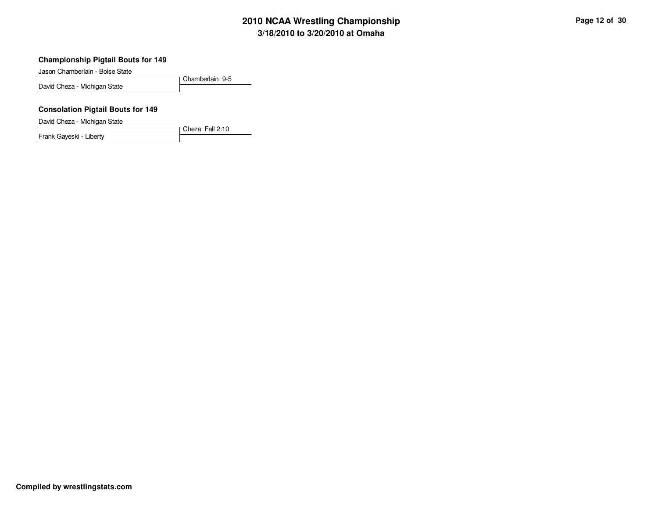# **3/18/2010 to 3/20/2010 at Omaha 2010 NCAA Wrestling Championship Page 12 of 30**

#### **Championship Pigtail Bouts for 149**

Jason Chamberlain - Boise State

Chamberlain 9-5 David Cheza - Michigan State

### **Consolation Pigtail Bouts for 149**

David Cheza - Michigan State

Frank Gayeski - Liberty

Cheza Fall 2:10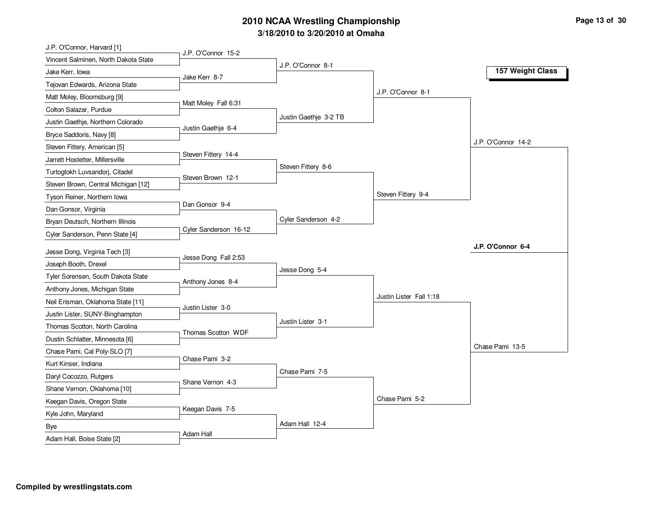## **3/18/2010 to 3/20/2010 at Omaha 2010 NCAA Wrestling Championship Page 13 of 30**

| J.P. O'Connor, Harvard [1]           |                       |                       |                         |                    |
|--------------------------------------|-----------------------|-----------------------|-------------------------|--------------------|
| Vincent Salminen, North Dakota State | J.P. O'Connor 15-2    |                       |                         |                    |
| Jake Kerr, Iowa                      | Jake Kerr 8-7         | J.P. O'Connor 8-1     |                         | 157 Weight Class   |
| Tejovan Edwards, Arizona State       |                       |                       |                         |                    |
| Matt Moley, Bloomsburg [9]           |                       |                       | J.P. O'Connor 8-1       |                    |
| Colton Salazar, Purdue               | Matt Moley Fall 6:31  |                       |                         |                    |
| Justin Gaethje, Northern Colorado    |                       | Justin Gaethje 3-2 TB |                         |                    |
| Bryce Saddoris, Navy [8]             | Justin Gaethje 6-4    |                       |                         |                    |
| Steven Fittery, American [5]         |                       |                       |                         | J.P. O'Connor 14-2 |
| Jarrett Hostetter, Millersville      | Steven Fittery 14-4   |                       |                         |                    |
| Turtogtokh Luvsandorj, Citadel       |                       | Steven Fittery 8-6    |                         |                    |
| Steven Brown, Central Michigan [12]  | Steven Brown 12-1     |                       |                         |                    |
| Tyson Reiner, Northern Iowa          |                       |                       | Steven Fittery 9-4      |                    |
| Dan Gonsor, Virginia                 | Dan Gonsor 9-4        |                       |                         |                    |
| Bryan Deutsch, Northern Illinois     |                       | Cyler Sanderson 4-2   |                         |                    |
| Cyler Sanderson, Penn State [4]      | Cyler Sanderson 16-12 |                       |                         |                    |
|                                      |                       |                       |                         | J.P. O'Connor 6-4  |
| Jesse Dong, Virginia Tech [3]        | Jesse Dong Fall 2:53  |                       |                         |                    |
| Joseph Booth, Drexel                 |                       | Jesse Dong 5-4        |                         |                    |
| Tyler Sorensen, South Dakota State   | Anthony Jones 8-4     |                       |                         |                    |
| Anthony Jones, Michigan State        |                       |                       | Justin Lister Fall 1:18 |                    |
| Neil Erisman, Oklahoma State [11]    | Justin Lister 3-0     |                       |                         |                    |
| Justin Lister, SUNY-Binghampton      |                       | Justin Lister 3-1     |                         |                    |
| Thomas Scotton, North Carolina       | Thomas Scotton WDF    |                       |                         |                    |
| Dustin Schlatter, Minnesota [6]      |                       |                       |                         | Chase Pami 13-5    |
| Chase Pami, Cal Poly-SLO [7]         | Chase Pami 3-2        |                       |                         |                    |
| Kurt Kinser, Indiana                 |                       | Chase Pami 7-5        |                         |                    |
| Daryl Cocozzo, Rutgers               | Shane Vernon 4-3      |                       |                         |                    |
| Shane Vernon, Oklahoma [10]          |                       |                       |                         |                    |
| Keegan Davis, Oregon State           | Keegan Davis 7-5      |                       | Chase Pami 5-2          |                    |
| Kyle John, Maryland                  |                       |                       |                         |                    |
| <b>Bye</b>                           | Adam Hall             | Adam Hall 12-4        |                         |                    |
| Adam Hall, Boise State [2]           |                       |                       |                         |                    |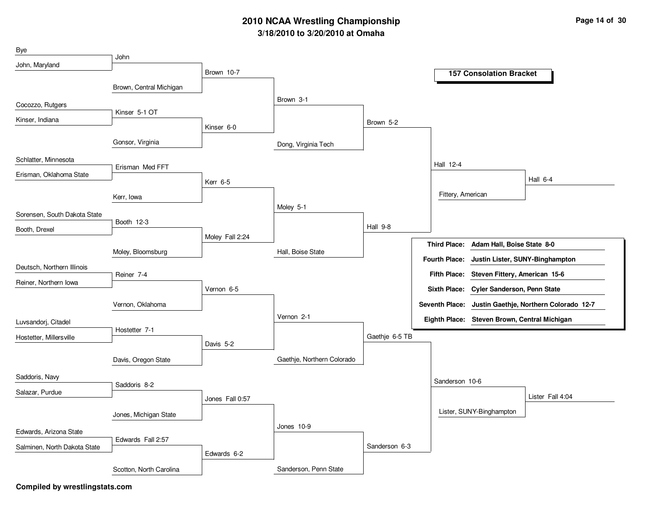## **3/18/2010 to 3/20/2010 at Omaha 2010 NCAA Wrestling Championship Page 14 of 30**

| Bye                          |                         |                 |                            |                |                      |                                              |                                                       |
|------------------------------|-------------------------|-----------------|----------------------------|----------------|----------------------|----------------------------------------------|-------------------------------------------------------|
| John, Maryland               | John                    |                 |                            |                |                      |                                              |                                                       |
|                              |                         | Brown 10-7      |                            |                |                      | <b>157 Consolation Bracket</b>               |                                                       |
|                              | Brown, Central Michigan |                 |                            |                |                      |                                              |                                                       |
| Cocozzo, Rutgers             |                         |                 | Brown 3-1                  |                |                      |                                              |                                                       |
| Kinser, Indiana              | Kinser 5-1 OT           |                 |                            |                |                      |                                              |                                                       |
|                              |                         | Kinser 6-0      |                            | Brown 5-2      |                      |                                              |                                                       |
|                              | Gonsor, Virginia        |                 | Dong, Virginia Tech        |                |                      |                                              |                                                       |
| Schlatter, Minnesota         |                         |                 |                            |                | Hall 12-4            |                                              |                                                       |
| Erisman, Oklahoma State      | Erisman Med FFT         |                 |                            |                |                      |                                              |                                                       |
|                              |                         | Kerr 6-5        |                            |                |                      |                                              | Hall 6-4                                              |
|                              | Kerr, Iowa              |                 |                            |                | Fittery, American    |                                              |                                                       |
| Sorensen, South Dakota State |                         |                 | Moley 5-1                  |                |                      |                                              |                                                       |
|                              | Booth 12-3              |                 |                            | Hall 9-8       |                      |                                              |                                                       |
| Booth, Drexel                |                         | Moley Fall 2:24 |                            |                |                      |                                              |                                                       |
|                              | Moley, Bloomsburg       |                 | Hall, Boise State          |                | <b>Third Place:</b>  | Adam Hall, Boise State 8-0                   |                                                       |
| Deutsch, Northern Illinois   |                         |                 |                            |                | <b>Fourth Place:</b> | Justin Lister, SUNY-Binghampton              |                                                       |
|                              | Reiner 7-4              |                 |                            |                |                      | Fifth Place: Steven Fittery, American 15-6   |                                                       |
| Reiner, Northern Iowa        |                         | Vernon 6-5      |                            |                |                      | Sixth Place: Cyler Sanderson, Penn State     |                                                       |
|                              | Vernon, Oklahoma        |                 |                            |                |                      |                                              | Seventh Place: Justin Gaethje, Northern Colorado 12-7 |
| Luvsandorj, Citadel          |                         |                 | Vernon 2-1                 |                |                      | Eighth Place: Steven Brown, Central Michigan |                                                       |
| Hostetter, Millersville      | Hostetter 7-1           |                 |                            | Gaethje 6-5 TB |                      |                                              |                                                       |
|                              |                         | Davis 5-2       |                            |                |                      |                                              |                                                       |
|                              | Davis, Oregon State     |                 | Gaethje, Northern Colorado |                |                      |                                              |                                                       |
| Saddoris, Navy               |                         |                 |                            |                | Sanderson 10-6       |                                              |                                                       |
| Salazar, Purdue              | Saddoris 8-2            |                 |                            |                |                      |                                              |                                                       |
|                              |                         | Jones Fall 0:57 |                            |                |                      |                                              | Lister Fall 4:04                                      |
|                              | Jones, Michigan State   |                 |                            |                |                      | Lister, SUNY-Binghampton                     |                                                       |
| Edwards, Arizona State       |                         |                 | Jones 10-9                 |                |                      |                                              |                                                       |
| Salminen, North Dakota State | Edwards Fall 2:57       |                 |                            | Sanderson 6-3  |                      |                                              |                                                       |
|                              |                         | Edwards 6-2     |                            |                |                      |                                              |                                                       |
|                              | Scotton, North Carolina |                 | Sanderson, Penn State      |                |                      |                                              |                                                       |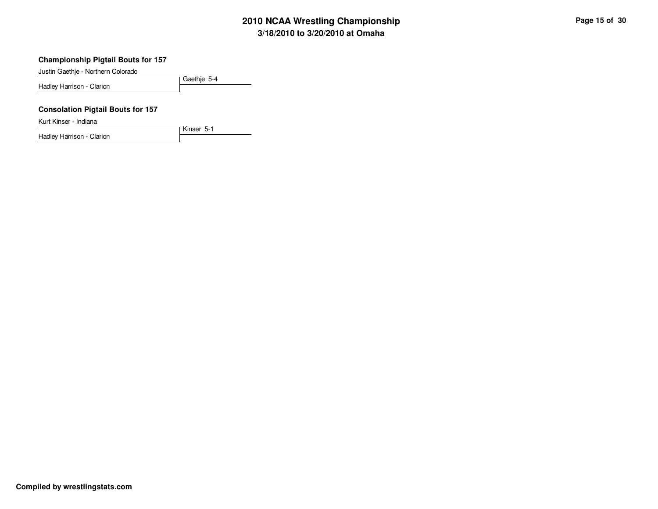# **3/18/2010 to 3/20/2010 at Omaha 2010 NCAA Wrestling Championship Page 15 of 30**

### **Championship Pigtail Bouts for 157**

Justin Gaethje - Northern Colorado

Hadley Harrison - Clarion

Gaethje 5-4

Kinser 5-1

### **Consolation Pigtail Bouts for 157**

Kurt Kinser - Indiana

Hadley Harrison - Clarion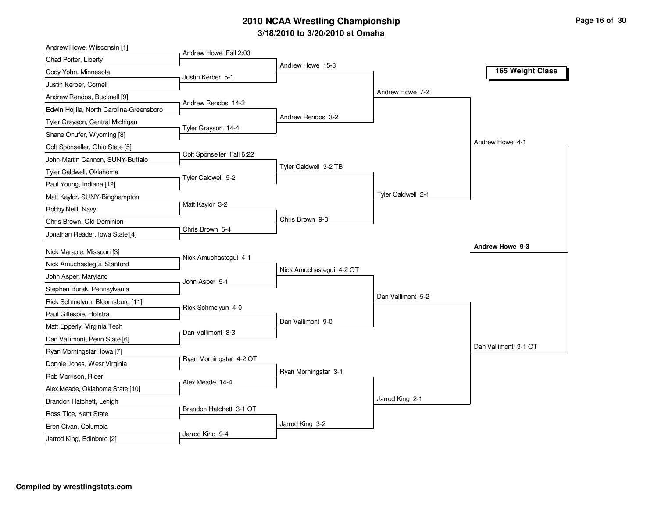# **3/18/2010 to 3/20/2010 at Omaha 2010 NCAA Wrestling Championship Page 16 of 30**

| Andrew Howe, Wisconsin [1]               |                           |                          |                    |                      |
|------------------------------------------|---------------------------|--------------------------|--------------------|----------------------|
| Chad Porter, Liberty                     | Andrew Howe Fall 2:03     |                          |                    |                      |
| Cody Yohn, Minnesota                     | Justin Kerber 5-1         | Andrew Howe 15-3         |                    | 165 Weight Class     |
| Justin Kerber, Cornell                   |                           |                          |                    |                      |
| Andrew Rendos, Bucknell [9]              |                           |                          | Andrew Howe 7-2    |                      |
| Edwin Hojilla, North Carolina-Greensboro | Andrew Rendos 14-2        |                          |                    |                      |
| Tyler Grayson, Central Michigan          |                           | Andrew Rendos 3-2        |                    |                      |
| Shane Onufer, Wyoming [8]                | Tyler Grayson 14-4        |                          |                    |                      |
| Colt Sponseller, Ohio State [5]          |                           |                          |                    | Andrew Howe 4-1      |
| John-Martin Cannon, SUNY-Buffalo         | Colt Sponseller Fall 6:22 |                          |                    |                      |
| Tyler Caldwell, Oklahoma                 |                           | Tyler Caldwell 3-2 TB    |                    |                      |
| Paul Young, Indiana [12]                 | Tyler Caldwell 5-2        |                          |                    |                      |
| Matt Kaylor, SUNY-Binghampton            |                           |                          | Tyler Caldwell 2-1 |                      |
| Robby Neill, Navy                        | Matt Kaylor 3-2           |                          |                    |                      |
| Chris Brown, Old Dominion                |                           | Chris Brown 9-3          |                    |                      |
| Jonathan Reader, Iowa State [4]          | Chris Brown 5-4           |                          |                    |                      |
| Nick Marable, Missouri [3]               |                           |                          |                    | Andrew Howe 9-3      |
| Nick Amuchastegui, Stanford              | Nick Amuchastegui 4-1     |                          |                    |                      |
| John Asper, Maryland                     |                           | Nick Amuchastegui 4-2 OT |                    |                      |
| Stephen Burak, Pennsylvania              | John Asper 5-1            |                          |                    |                      |
| Rick Schmelyun, Bloomsburg [11]          |                           |                          | Dan Vallimont 5-2  |                      |
| Paul Gillespie, Hofstra                  | Rick Schmelyun 4-0        |                          |                    |                      |
| Matt Epperly, Virginia Tech              |                           | Dan Vallimont 9-0        |                    |                      |
| Dan Vallimont, Penn State [6]            | Dan Vallimont 8-3         |                          |                    |                      |
| Ryan Morningstar, Iowa [7]               |                           |                          |                    | Dan Vallimont 3-1 OT |
| Donnie Jones, West Virginia              | Ryan Morningstar 4-2 OT   |                          |                    |                      |
| Rob Morrison, Rider                      |                           | Ryan Morningstar 3-1     |                    |                      |
| Alex Meade, Oklahoma State [10]          | Alex Meade 14-4           |                          |                    |                      |
| Brandon Hatchett, Lehigh                 |                           |                          | Jarrod King 2-1    |                      |
| Ross Tice, Kent State                    | Brandon Hatchett 3-1 OT   |                          |                    |                      |
| Eren Civan, Columbia                     |                           | Jarrod King 3-2          |                    |                      |
| Jarrod King, Edinboro [2]                | Jarrod King 9-4           |                          |                    |                      |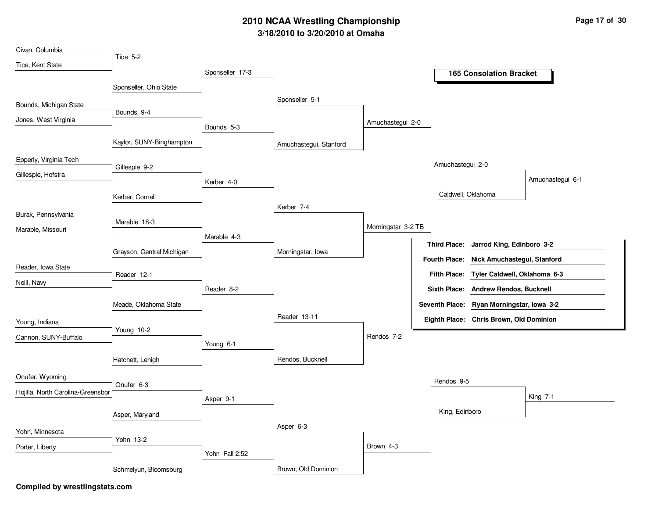## **3/18/2010 to 3/20/2010 at Omaha 2010 NCAA Wrestling Championship Page 17 of 30**

| Civan, Columbia                   |                           |                 |                        |                    |                  |                                           |                  |
|-----------------------------------|---------------------------|-----------------|------------------------|--------------------|------------------|-------------------------------------------|------------------|
| Tice, Kent State                  | Tice 5-2                  |                 |                        |                    |                  |                                           |                  |
|                                   |                           | Sponseller 17-3 |                        |                    |                  | <b>165 Consolation Bracket</b>            |                  |
|                                   | Sponseller, Ohio State    |                 |                        |                    |                  |                                           |                  |
|                                   |                           |                 |                        |                    |                  |                                           |                  |
| Bounds, Michigan State            |                           |                 | Sponseller 5-1         |                    |                  |                                           |                  |
| Jones, West Virginia              | Bounds 9-4                |                 |                        |                    |                  |                                           |                  |
|                                   |                           | Bounds 5-3      |                        | Amuchastegui 2-0   |                  |                                           |                  |
|                                   | Kaylor, SUNY-Binghampton  |                 | Amuchastegui, Stanford |                    |                  |                                           |                  |
| Epperly, Virginia Tech            |                           |                 |                        |                    |                  |                                           |                  |
|                                   | Gillespie 9-2             |                 |                        |                    | Amuchastegui 2-0 |                                           |                  |
| Gillespie, Hofstra                |                           | Kerber 4-0      |                        |                    |                  |                                           | Amuchastegui 6-1 |
|                                   | Kerber, Cornell           |                 |                        |                    |                  | Caldwell, Oklahoma                        |                  |
|                                   |                           |                 | Kerber 7-4             |                    |                  |                                           |                  |
| Burak, Pennsylvania               |                           |                 |                        |                    |                  |                                           |                  |
| Marable, Missouri                 | Marable 18-3              |                 |                        | Morningstar 3-2 TB |                  |                                           |                  |
|                                   |                           | Marable 4-3     |                        |                    |                  |                                           |                  |
|                                   | Grayson, Central Michigan |                 | Morningstar, Iowa      |                    |                  | Third Place: Jarrod King, Edinboro 3-2    |                  |
|                                   |                           |                 |                        |                    |                  | Fourth Place: Nick Amuchastegui, Stanford |                  |
| Reader, Iowa State                | Reader 12-1               |                 |                        |                    |                  | Fifth Place: Tyler Caldwell, Oklahoma 6-3 |                  |
| Neill, Navy                       |                           | Reader 8-2      |                        |                    |                  | Sixth Place: Andrew Rendos, Bucknell      |                  |
|                                   |                           |                 |                        |                    |                  |                                           |                  |
|                                   | Meade, Oklahoma State     |                 |                        |                    |                  | Seventh Place: Ryan Morningstar, Iowa 3-2 |                  |
| Young, Indiana                    |                           |                 | Reader 13-11           |                    |                  | Eighth Place: Chris Brown, Old Dominion   |                  |
| Cannon, SUNY-Buffalo              | Young 10-2                |                 |                        | Rendos 7-2         |                  |                                           |                  |
|                                   |                           | Young 6-1       |                        |                    |                  |                                           |                  |
|                                   | Hatchett, Lehigh          |                 | Rendos, Bucknell       |                    |                  |                                           |                  |
|                                   |                           |                 |                        |                    |                  |                                           |                  |
| Onufer, Wyoming                   |                           |                 |                        |                    | Rendos 9-5       |                                           |                  |
| Hojilla, North Carolina-Greensbor | Onufer 6-3                |                 |                        |                    |                  |                                           |                  |
|                                   |                           | Asper 9-1       |                        |                    |                  |                                           | King 7-1         |
|                                   | Asper, Maryland           |                 |                        |                    | King, Edinboro   |                                           |                  |
|                                   |                           |                 | Asper 6-3              |                    |                  |                                           |                  |
| Yohn, Minnesota                   | Yohn 13-2                 |                 |                        |                    |                  |                                           |                  |
| Porter, Liberty                   |                           |                 |                        | Brown 4-3          |                  |                                           |                  |
|                                   |                           | Yohn Fall 2:52  |                        |                    |                  |                                           |                  |
|                                   | Schmelyun, Bloomsburg     |                 | Brown, Old Dominion    |                    |                  |                                           |                  |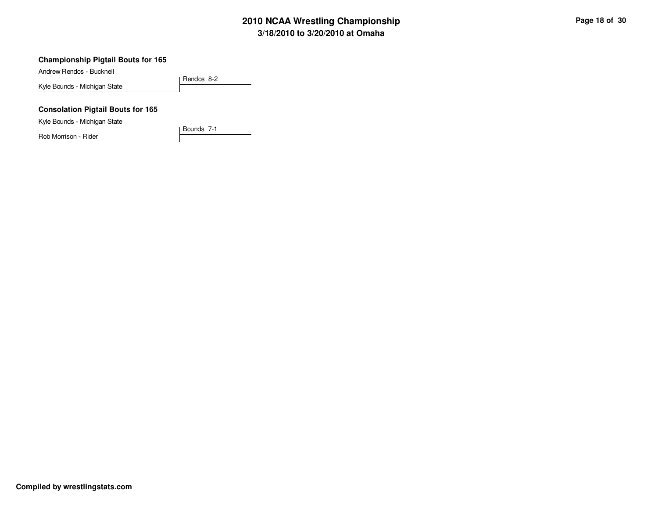# **3/18/2010 to 3/20/2010 at Omaha 2010 NCAA Wrestling Championship Page 18 of 30**

#### **Championship Pigtail Bouts for 165**

Andrew Rendos - Bucknell

Rendos 8-2 Kyle Bounds - Michigan State

### **Consolation Pigtail Bouts for 165**

Kyle Bounds - Michigan State

Rob Morrison - Rider

Bounds 7-1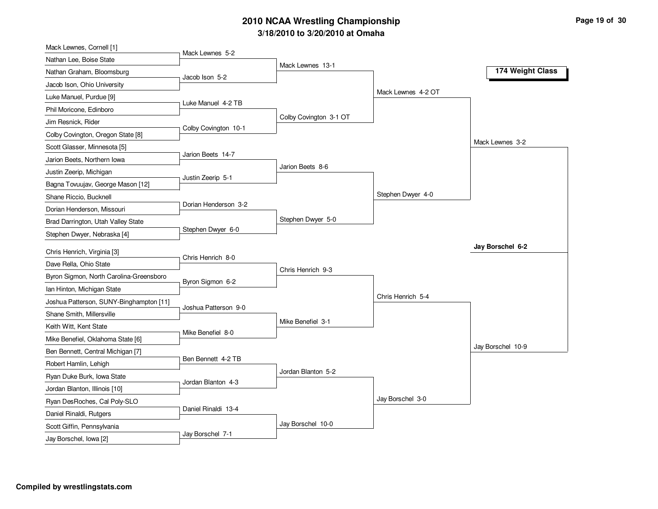# **3/18/2010 to 3/20/2010 at Omaha 2010 NCAA Wrestling Championship Page 19 of 30 Page 19 of 30**

| Mack Lewnes, Cornell [1]                                              |                      |                        |                    |                   |
|-----------------------------------------------------------------------|----------------------|------------------------|--------------------|-------------------|
| Nathan Lee, Boise State                                               | Mack Lewnes 5-2      |                        |                    |                   |
| Nathan Graham, Bloomsburg                                             | Jacob Ison 5-2       | Mack Lewnes 13-1       |                    | 174 Weight Class  |
| Jacob Ison, Ohio University                                           |                      |                        |                    |                   |
| Luke Manuel, Purdue [9]                                               |                      |                        | Mack Lewnes 4-2 OT |                   |
| Phil Moricone, Edinboro                                               | Luke Manuel 4-2 TB   |                        |                    |                   |
| Jim Resnick, Rider                                                    |                      | Colby Covington 3-1 OT |                    |                   |
| Colby Covington, Oregon State [8]                                     | Colby Covington 10-1 |                        |                    |                   |
| Scott Glasser, Minnesota [5]                                          |                      |                        |                    | Mack Lewnes 3-2   |
| Jarion Beets, Northern Iowa                                           | Jarion Beets 14-7    |                        |                    |                   |
| Justin Zeerip, Michigan                                               |                      | Jarion Beets 8-6       |                    |                   |
| Bagna Tovuujav, George Mason [12]                                     | Justin Zeerip 5-1    |                        |                    |                   |
| Shane Riccio, Bucknell                                                |                      |                        | Stephen Dwyer 4-0  |                   |
| Dorian Henderson, Missouri                                            | Dorian Henderson 3-2 |                        |                    |                   |
| Brad Darrington, Utah Valley State                                    |                      | Stephen Dwyer 5-0      |                    |                   |
| Stephen Dwyer, Nebraska [4]                                           | Stephen Dwyer 6-0    |                        |                    |                   |
| Chris Henrich, Virginia [3]                                           |                      |                        |                    | Jay Borschel 6-2  |
| Dave Rella, Ohio State                                                | Chris Henrich 8-0    |                        |                    |                   |
| Byron Sigmon, North Carolina-Greensboro                               |                      | Chris Henrich 9-3      |                    |                   |
|                                                                       | Byron Sigmon 6-2     |                        |                    |                   |
| Ian Hinton, Michigan State<br>Joshua Patterson, SUNY-Binghampton [11] |                      |                        | Chris Henrich 5-4  |                   |
| Shane Smith, Millersville                                             | Joshua Patterson 9-0 |                        |                    |                   |
|                                                                       |                      | Mike Benefiel 3-1      |                    |                   |
| Keith Witt, Kent State                                                | Mike Benefiel 8-0    |                        |                    |                   |
| Mike Benefiel, Oklahoma State [6]                                     |                      |                        |                    | Jay Borschel 10-9 |
| Ben Bennett, Central Michigan [7]                                     | Ben Bennett 4-2 TB   |                        |                    |                   |
| Robert Hamlin, Lehigh                                                 |                      | Jordan Blanton 5-2     |                    |                   |
| Ryan Duke Burk, Iowa State                                            | Jordan Blanton 4-3   |                        |                    |                   |
| Jordan Blanton, Illinois [10]                                         |                      |                        | Jay Borschel 3-0   |                   |
| Ryan DesRoches, Cal Poly-SLO                                          | Daniel Rinaldi 13-4  |                        |                    |                   |
| Daniel Rinaldi, Rutgers                                               |                      | Jay Borschel 10-0      |                    |                   |
| Scott Giffin, Pennsylvania                                            | Jay Borschel 7-1     |                        |                    |                   |
| Jay Borschel, Iowa [2]                                                |                      |                        |                    |                   |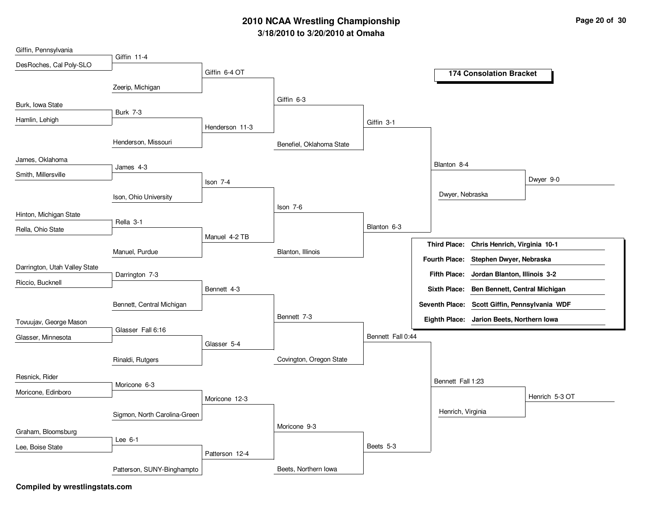## **3/18/2010 to 3/20/2010 at Omaha 2010 NCAA Wrestling Championship Page 20 of 30**

| Giffin, Pennsylvania          |                              |                |                          |                   |                                               |
|-------------------------------|------------------------------|----------------|--------------------------|-------------------|-----------------------------------------------|
| DesRoches, Cal Poly-SLO       | Giffin 11-4                  |                |                          |                   |                                               |
|                               |                              | Giffin 6-4 OT  |                          |                   | <b>174 Consolation Bracket</b>                |
|                               | Zeerip, Michigan             |                |                          |                   |                                               |
| Burk, Iowa State              |                              |                | Giffin 6-3               |                   |                                               |
| Hamlin, Lehigh                | <b>Burk 7-3</b>              |                |                          |                   |                                               |
|                               |                              | Henderson 11-3 |                          | Giffin 3-1        |                                               |
|                               | Henderson, Missouri          |                | Benefiel, Oklahoma State |                   |                                               |
| James, Oklahoma               | James 4-3                    |                |                          |                   | Blanton 8-4                                   |
| Smith, Millersville           |                              | Ison 7-4       |                          |                   | Dwyer 9-0                                     |
|                               | Ison, Ohio University        |                |                          |                   | Dwyer, Nebraska                               |
|                               |                              |                | Ison 7-6                 |                   |                                               |
| Hinton, Michigan State        | Rella 3-1                    |                |                          |                   |                                               |
| Rella, Ohio State             |                              | Manuel 4-2 TB  |                          | Blanton 6-3       |                                               |
|                               |                              |                |                          |                   | Third Place: Chris Henrich, Virginia 10-1     |
|                               | Manuel, Purdue               |                | Blanton, Illinois        |                   | Fourth Place: Stephen Dwyer, Nebraska         |
| Darrington, Utah Valley State | Darrington 7-3               |                |                          |                   | Fifth Place: Jordan Blanton, Illinois 3-2     |
| Riccio, Bucknell              |                              | Bennett 4-3    |                          |                   | Sixth Place: Ben Bennett, Central Michigan    |
|                               |                              |                |                          |                   |                                               |
|                               | Bennett, Central Michigan    |                | Bennett 7-3              |                   | Seventh Place: Scott Giffin, Pennsylvania WDF |
| Tovuujav, George Mason        | Glasser Fall 6:16            |                |                          |                   | Eighth Place: Jarion Beets, Northern Iowa     |
| Glasser, Minnesota            |                              |                |                          | Bennett Fall 0:44 |                                               |
|                               |                              | Glasser 5-4    |                          |                   |                                               |
|                               | Rinaldi, Rutgers             |                | Covington, Oregon State  |                   |                                               |
| Resnick, Rider                |                              |                |                          |                   | Bennett Fall 1:23                             |
| Moricone, Edinboro            | Moricone 6-3                 |                |                          |                   |                                               |
|                               |                              | Moricone 12-3  |                          |                   | Henrich 5-3 OT                                |
|                               | Sigmon, North Carolina-Green |                |                          |                   | Henrich, Virginia                             |
| Graham, Bloomsburg            |                              |                | Moricone 9-3             |                   |                                               |
| Lee, Boise State              | Lee $6-1$                    |                |                          | Beets 5-3         |                                               |
|                               |                              | Patterson 12-4 |                          |                   |                                               |
|                               | Patterson, SUNY-Binghampto   |                | Beets, Northern Iowa     |                   |                                               |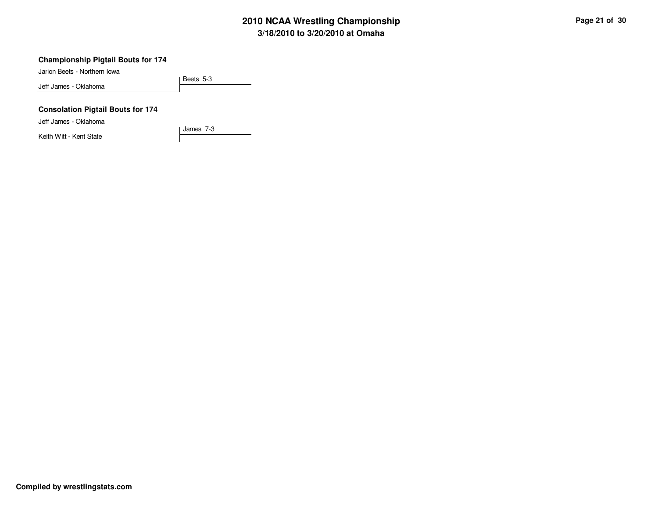# **3/18/2010 to 3/20/2010 at Omaha 2010 NCAA Wrestling Championship Page 21 of 30**

#### **Championship Pigtail Bouts for 174**

Jarion Beets - Northern Iowa

Beets 5-3 Jeff James - Oklahoma

### **Consolation Pigtail Bouts for 174**

Jeff James - Oklahoma

Keith Witt - Kent State

James 7-3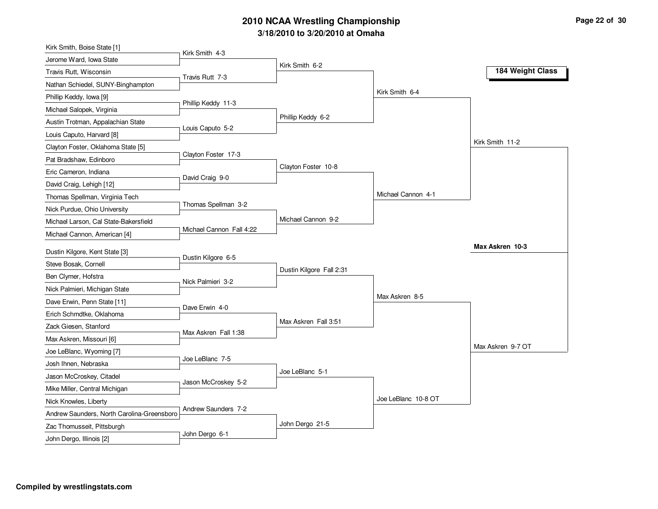# **3/18/2010 to 3/20/2010 at Omaha 2010 NCAA Wrestling Championship Page 22 of 30**

| Kirk Smith 4-3<br>Jerome Ward, Iowa State<br>Kirk Smith 6-2<br>184 Weight Class<br>Travis Rutt, Wisconsin<br>Travis Rutt 7-3<br>Nathan Schiedel, SUNY-Binghampton<br>Kirk Smith 6-4<br>Phillip Keddy, Iowa [9]<br>Phillip Keddy 11-3 |  |
|--------------------------------------------------------------------------------------------------------------------------------------------------------------------------------------------------------------------------------------|--|
|                                                                                                                                                                                                                                      |  |
|                                                                                                                                                                                                                                      |  |
|                                                                                                                                                                                                                                      |  |
|                                                                                                                                                                                                                                      |  |
| Michael Salopek, Virginia                                                                                                                                                                                                            |  |
| Phillip Keddy 6-2<br>Austin Trotman, Appalachian State                                                                                                                                                                               |  |
| Louis Caputo 5-2<br>Louis Caputo, Harvard [8]                                                                                                                                                                                        |  |
| Kirk Smith 11-2<br>Clayton Foster, Oklahoma State [5]                                                                                                                                                                                |  |
| Clayton Foster 17-3<br>Pat Bradshaw, Edinboro                                                                                                                                                                                        |  |
| Clayton Foster 10-8<br>Eric Cameron, Indiana                                                                                                                                                                                         |  |
| David Craig 9-0<br>David Craig, Lehigh [12]                                                                                                                                                                                          |  |
| Michael Cannon 4-1<br>Thomas Spellman, Virginia Tech                                                                                                                                                                                 |  |
| Thomas Spellman 3-2<br>Nick Purdue, Ohio University                                                                                                                                                                                  |  |
| Michael Cannon 9-2<br>Michael Larson, Cal State-Bakersfield                                                                                                                                                                          |  |
| Michael Cannon Fall 4:22<br>Michael Cannon, American [4]                                                                                                                                                                             |  |
| Max Askren 10-3<br>Dustin Kilgore, Kent State [3]                                                                                                                                                                                    |  |
| Dustin Kilgore 6-5<br>Steve Bosak, Cornell                                                                                                                                                                                           |  |
| Dustin Kilgore Fall 2:31<br>Ben Clymer, Hofstra                                                                                                                                                                                      |  |
| Nick Palmieri 3-2<br>Nick Palmieri, Michigan State                                                                                                                                                                                   |  |
| Max Askren 8-5<br>Dave Erwin, Penn State [11]                                                                                                                                                                                        |  |
| Dave Erwin 4-0<br>Erich Schmdtke, Oklahoma                                                                                                                                                                                           |  |
| Max Askren Fall 3:51<br>Zack Giesen, Stanford                                                                                                                                                                                        |  |
| Max Askren Fall 1:38<br>Max Askren, Missouri [6]                                                                                                                                                                                     |  |
| Max Askren 9-7 OT<br>Joe LeBlanc, Wyoming [7]                                                                                                                                                                                        |  |
| Joe LeBlanc 7-5<br>Josh Ihnen, Nebraska                                                                                                                                                                                              |  |
| Joe LeBlanc 5-1<br>Jason McCroskey, Citadel                                                                                                                                                                                          |  |
| Jason McCroskey 5-2<br>Mike Miller, Central Michigan                                                                                                                                                                                 |  |
| Joe LeBlanc 10-8 OT<br>Nick Knowles, Liberty                                                                                                                                                                                         |  |
| Andrew Saunders 7-2<br>Andrew Saunders, North Carolina-Greensboro                                                                                                                                                                    |  |
| John Dergo 21-5<br>Zac Thomusseit, Pittsburgh                                                                                                                                                                                        |  |
| John Dergo 6-1<br>John Dergo, Illinois [2]                                                                                                                                                                                           |  |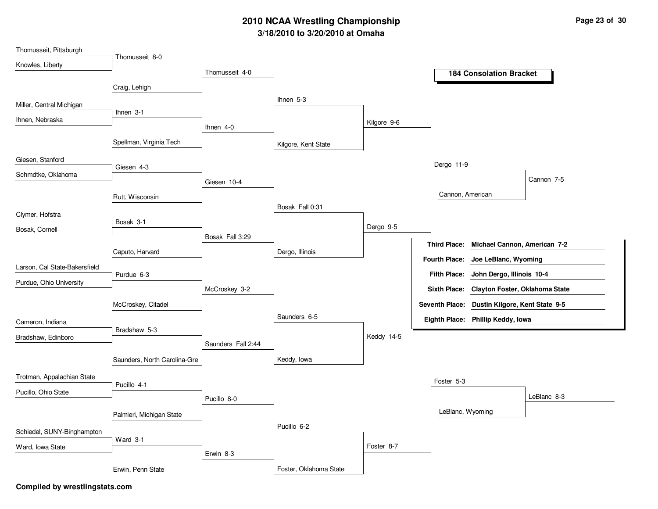## **3/18/2010 to 3/20/2010 at Omaha 2010 NCAA Wrestling Championship Page 23 of 30**

| Thomusseit, Pittsburgh        |                              |                    |                        |             |                                                       |
|-------------------------------|------------------------------|--------------------|------------------------|-------------|-------------------------------------------------------|
| Knowles, Liberty              | Thomusseit 8-0               |                    |                        |             |                                                       |
|                               |                              | Thomusseit 4-0     |                        |             | <b>184 Consolation Bracket</b>                        |
|                               | Craig, Lehigh                |                    |                        |             |                                                       |
|                               |                              |                    | Ihnen 5-3              |             |                                                       |
| Miller, Central Michigan      | Ihnen 3-1                    |                    |                        |             |                                                       |
| Ihnen, Nebraska               |                              | Ihnen $4-0$        |                        | Kilgore 9-6 |                                                       |
|                               |                              |                    |                        |             |                                                       |
|                               | Spellman, Virginia Tech      |                    | Kilgore, Kent State    |             |                                                       |
| Giesen, Stanford              |                              |                    |                        |             |                                                       |
| Schmdtke, Oklahoma            | Giesen 4-3                   |                    |                        |             | Dergo 11-9                                            |
|                               |                              | Giesen 10-4        |                        |             | Cannon 7-5                                            |
|                               | Rutt, Wisconsin              |                    |                        |             | Cannon, American                                      |
|                               |                              |                    | Bosak Fall 0:31        |             |                                                       |
| Clymer, Hofstra               | Bosak 3-1                    |                    |                        |             |                                                       |
| Bosak, Cornell                |                              |                    |                        | Dergo 9-5   |                                                       |
|                               |                              | Bosak Fall 3:29    |                        |             | Third Place: Michael Cannon, American 7-2             |
|                               | Caputo, Harvard              |                    | Dergo, Illinois        |             | <b>Fourth Place:</b><br>Joe LeBlanc, Wyoming          |
| Larson, Cal State-Bakersfield |                              |                    |                        |             |                                                       |
| Purdue, Ohio University       | Purdue 6-3                   |                    |                        |             | Fifth Place: John Dergo, Illinois 10-4                |
|                               |                              | McCroskey 3-2      |                        |             | Clayton Foster, Oklahoma State<br><b>Sixth Place:</b> |
|                               | McCroskey, Citadel           |                    |                        |             | Seventh Place: Dustin Kilgore, Kent State 9-5         |
|                               |                              |                    | Saunders 6-5           |             | Eighth Place: Phillip Keddy, Iowa                     |
| Cameron, Indiana              | Bradshaw 5-3                 |                    |                        |             |                                                       |
| Bradshaw, Edinboro            |                              |                    |                        | Keddy 14-5  |                                                       |
|                               |                              | Saunders Fall 2:44 |                        |             |                                                       |
|                               | Saunders, North Carolina-Gre |                    | Keddy, Iowa            |             |                                                       |
| Trotman, Appalachian State    |                              |                    |                        |             |                                                       |
|                               | Pucillo 4-1                  |                    |                        |             | Foster 5-3                                            |
| Pucillo, Ohio State           |                              | Pucillo 8-0        |                        |             | LeBlanc 8-3                                           |
|                               | Palmieri, Michigan State     |                    |                        |             | LeBlanc, Wyoming                                      |
|                               |                              |                    | Pucillo 6-2            |             |                                                       |
| Schiedel, SUNY-Binghampton    |                              |                    |                        |             |                                                       |
| Ward, Iowa State              | Ward 3-1                     |                    |                        | Foster 8-7  |                                                       |
|                               |                              | Erwin 8-3          |                        |             |                                                       |
|                               | Erwin, Penn State            |                    | Foster, Oklahoma State |             |                                                       |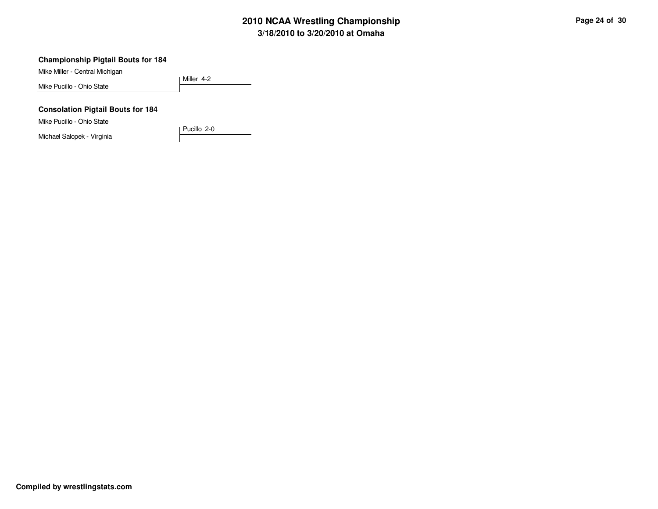# **3/18/2010 to 3/20/2010 at Omaha 2010 NCAA Wrestling Championship Page 24 of 30**

#### **Championship Pigtail Bouts for 184**

Mike Miller - Central Michigan

Miller 4-2 Mike Pucillo - Ohio State

### **Consolation Pigtail Bouts for 184**

Mike Pucillo - Ohio State

Michael Salopek - Virginia

Pucillo 2-0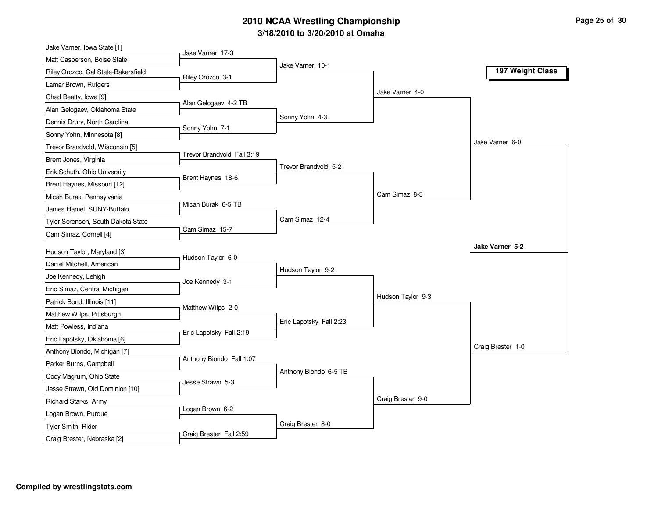# **3/18/2010 to 3/20/2010 at Omaha 2010 NCAA Wrestling Championship Page 25 of 30**

| Jake Varner, Iowa State [1]         |                            |                         |                   |                   |
|-------------------------------------|----------------------------|-------------------------|-------------------|-------------------|
| Matt Casperson, Boise State         | Jake Varner 17-3           |                         |                   |                   |
| Riley Orozco, Cal State-Bakersfield | Riley Orozco 3-1           | Jake Varner 10-1        |                   | 197 Weight Class  |
| Lamar Brown, Rutgers                |                            |                         |                   |                   |
| Chad Beatty, Iowa [9]               |                            |                         | Jake Varner 4-0   |                   |
| Alan Gelogaev, Oklahoma State       | Alan Gelogaev 4-2 TB       |                         |                   |                   |
| Dennis Drury, North Carolina        |                            | Sonny Yohn 4-3          |                   |                   |
| Sonny Yohn, Minnesota [8]           | Sonny Yohn 7-1             |                         |                   |                   |
| Trevor Brandvold, Wisconsin [5]     |                            |                         |                   | Jake Varner 6-0   |
| Brent Jones, Virginia               | Trevor Brandvold Fall 3:19 |                         |                   |                   |
| Erik Schuth, Ohio University        |                            | Trevor Brandvold 5-2    |                   |                   |
| Brent Haynes, Missouri [12]         | Brent Haynes 18-6          |                         |                   |                   |
| Micah Burak, Pennsylvania           |                            |                         | Cam Simaz 8-5     |                   |
| James Hamel, SUNY-Buffalo           | Micah Burak 6-5 TB         |                         |                   |                   |
| Tyler Sorensen, South Dakota State  |                            | Cam Simaz 12-4          |                   |                   |
| Cam Simaz, Cornell [4]              | Cam Simaz 15-7             |                         |                   |                   |
| Hudson Taylor, Maryland [3]         |                            |                         |                   | Jake Varner 5-2   |
| Daniel Mitchell, American           | Hudson Taylor 6-0          |                         |                   |                   |
|                                     |                            | Hudson Taylor 9-2       |                   |                   |
| Joe Kennedy, Lehigh                 | Joe Kennedy 3-1            |                         |                   |                   |
| Eric Simaz, Central Michigan        |                            |                         | Hudson Taylor 9-3 |                   |
| Patrick Bond, Illinois [11]         | Matthew Wilps 2-0          |                         |                   |                   |
| Matthew Wilps, Pittsburgh           |                            | Eric Lapotsky Fall 2:23 |                   |                   |
| Matt Powless, Indiana               | Eric Lapotsky Fall 2:19    |                         |                   |                   |
| Eric Lapotsky, Oklahoma [6]         |                            |                         |                   | Craig Brester 1-0 |
| Anthony Biondo, Michigan [7]        | Anthony Biondo Fall 1:07   |                         |                   |                   |
| Parker Burns, Campbell              |                            | Anthony Biondo 6-5 TB   |                   |                   |
| Cody Magrum, Ohio State             | Jesse Strawn 5-3           |                         |                   |                   |
| Jesse Strawn, Old Dominion [10]     |                            |                         |                   |                   |
| Richard Starks, Army                | Logan Brown 6-2            |                         | Craig Brester 9-0 |                   |
| Logan Brown, Purdue                 |                            |                         |                   |                   |
| Tyler Smith, Rider                  | Craig Brester Fall 2:59    | Craig Brester 8-0       |                   |                   |
| Craig Brester, Nebraska [2]         |                            |                         |                   |                   |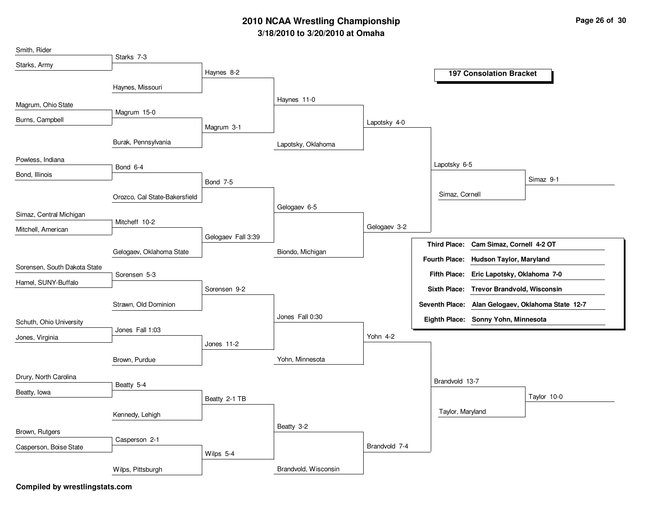## **3/18/2010 to 3/20/2010 at Omaha 2010 NCAA Wrestling Championship Page 26 of 30**

| Smith, Rider                 |                               |                    |                      |               |                                                        |
|------------------------------|-------------------------------|--------------------|----------------------|---------------|--------------------------------------------------------|
| Starks, Army                 | Starks 7-3                    |                    |                      |               |                                                        |
|                              |                               | Haynes 8-2         |                      |               | <b>197 Consolation Bracket</b>                         |
|                              | Haynes, Missouri              |                    |                      |               |                                                        |
|                              |                               |                    | Haynes 11-0          |               |                                                        |
| Magrum, Ohio State           | Magrum 15-0                   |                    |                      |               |                                                        |
| Burns, Campbell              |                               |                    |                      | Lapotsky 4-0  |                                                        |
|                              |                               | Magrum 3-1         |                      |               |                                                        |
|                              | Burak, Pennsylvania           |                    | Lapotsky, Oklahoma   |               |                                                        |
| Powless, Indiana             |                               |                    |                      |               |                                                        |
| Bond, Illinois               | Bond 6-4                      |                    |                      |               | Lapotsky 6-5                                           |
|                              |                               | <b>Bond 7-5</b>    |                      |               | Simaz 9-1                                              |
|                              | Orozco, Cal State-Bakersfield |                    |                      |               | Simaz, Cornell                                         |
|                              |                               |                    | Gelogaev 6-5         |               |                                                        |
| Simaz, Central Michigan      | Mitcheff 10-2                 |                    |                      |               |                                                        |
| Mitchell, American           |                               |                    |                      | Gelogaev 3-2  |                                                        |
|                              |                               | Gelogaev Fall 3:39 |                      |               | Third Place: Cam Simaz, Cornell 4-2 OT                 |
|                              | Gelogaev, Oklahoma State      |                    | Biondo, Michigan     |               |                                                        |
| Sorensen, South Dakota State |                               |                    |                      |               | <b>Fourth Place:</b><br><b>Hudson Taylor, Maryland</b> |
|                              | Sorensen 5-3                  |                    |                      |               | Fifth Place: Eric Lapotsky, Oklahoma 7-0               |
| Hamel, SUNY-Buffalo          |                               | Sorensen 9-2       |                      |               | Sixth Place: Trevor Brandvold, Wisconsin               |
|                              | Strawn, Old Dominion          |                    |                      |               | Seventh Place: Alan Gelogaev, Oklahoma State 12-7      |
|                              |                               |                    | Jones Fall 0:30      |               | Eighth Place: Sonny Yohn, Minnesota                    |
| Schuth, Ohio University      | Jones Fall 1:03               |                    |                      |               |                                                        |
| Jones, Virginia              |                               | Jones 11-2         |                      | Yohn 4-2      |                                                        |
|                              |                               |                    |                      |               |                                                        |
|                              | Brown, Purdue                 |                    | Yohn, Minnesota      |               |                                                        |
| Drury, North Carolina        |                               |                    |                      |               |                                                        |
|                              | Beatty 5-4                    |                    |                      |               | Brandvold 13-7                                         |
| Beatty, lowa                 |                               | Beatty 2-1 TB      |                      |               | Taylor 10-0                                            |
|                              |                               |                    |                      |               | Taylor, Maryland                                       |
|                              | Kennedy, Lehigh               |                    |                      |               |                                                        |
| Brown, Rutgers               |                               |                    | Beatty 3-2           |               |                                                        |
| Casperson, Boise State       | Casperson 2-1                 |                    |                      | Brandvold 7-4 |                                                        |
|                              |                               | Wilps 5-4          |                      |               |                                                        |
|                              | Wilps, Pittsburgh             |                    | Brandvold, Wisconsin |               |                                                        |
|                              |                               |                    |                      |               |                                                        |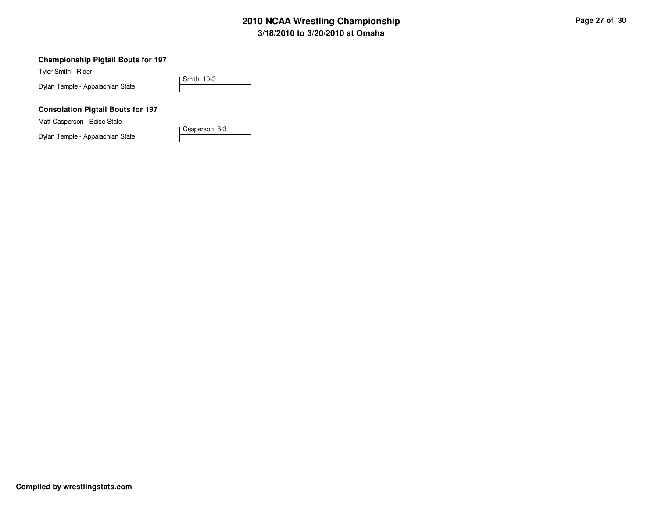# **3/18/2010 to 3/20/2010 at Omaha 2010 NCAA Wrestling Championship Page 27 of 30**

#### **Championship Pigtail Bouts for 197**

Tyler Smith - Rider

Smith 10-3 Dylan Temple - Appalachian State

### **Consolation Pigtail Bouts for 197**

Matt Casperson - Boise State

Dylan Temple - Appalachian State

Casperson 8-3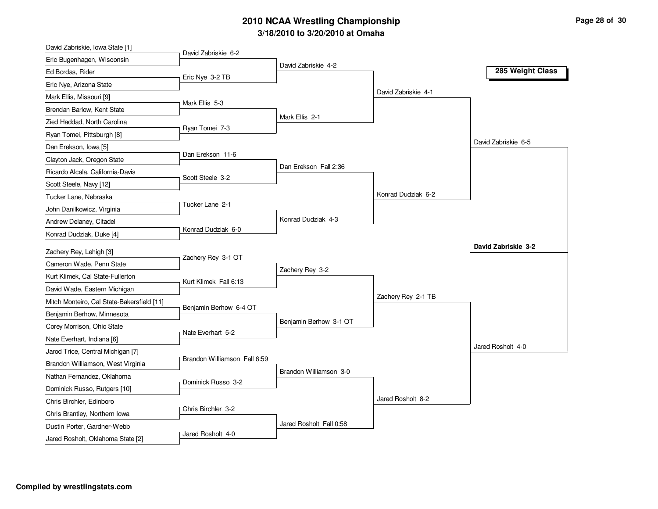# **3/18/2010 to 3/20/2010 at Omaha 2010 NCAA Wrestling Championship Page 28 of 30**

| David Zabriskie, Iowa State [1]                                  |                              |                         |                     |                     |
|------------------------------------------------------------------|------------------------------|-------------------------|---------------------|---------------------|
| Eric Bugenhagen, Wisconsin                                       | David Zabriskie 6-2          |                         |                     |                     |
| Ed Bordas, Rider                                                 | Eric Nye 3-2 TB              | David Zabriskie 4-2     |                     | 285 Weight Class    |
| Eric Nye, Arizona State                                          |                              |                         |                     |                     |
| Mark Ellis, Missouri [9]                                         |                              |                         | David Zabriskie 4-1 |                     |
| Brendan Barlow, Kent State                                       | Mark Ellis 5-3               |                         |                     |                     |
| Zied Haddad, North Carolina                                      |                              | Mark Ellis 2-1          |                     |                     |
| Ryan Tomei, Pittsburgh [8]                                       | Ryan Tomei 7-3               |                         |                     |                     |
| Dan Erekson, Iowa [5]                                            |                              |                         |                     | David Zabriskie 6-5 |
| Clayton Jack, Oregon State                                       | Dan Erekson 11-6             |                         |                     |                     |
| Ricardo Alcala, California-Davis                                 |                              | Dan Erekson Fall 2:36   |                     |                     |
| Scott Steele, Navy [12]                                          | Scott Steele 3-2             |                         |                     |                     |
| Tucker Lane, Nebraska                                            |                              |                         | Konrad Dudziak 6-2  |                     |
| John Danilkowicz, Virginia                                       | Tucker Lane 2-1              |                         |                     |                     |
| Andrew Delaney, Citadel                                          |                              | Konrad Dudziak 4-3      |                     |                     |
| Konrad Dudziak, Duke [4]                                         | Konrad Dudziak 6-0           |                         |                     |                     |
| Zachery Rey, Lehigh [3]                                          |                              |                         |                     | David Zabriskie 3-2 |
| Cameron Wade, Penn State                                         | Zachery Rey 3-1 OT           |                         |                     |                     |
| Kurt Klimek, Cal State-Fullerton                                 |                              | Zachery Rey 3-2         |                     |                     |
|                                                                  | Kurt Klimek Fall 6:13        |                         |                     |                     |
| David Wade, Eastern Michigan                                     |                              |                         | Zachery Rey 2-1 TB  |                     |
| Mitch Monteiro, Cal State-Bakersfield [11]                       | Benjamin Berhow 6-4 OT       |                         |                     |                     |
| Benjamin Berhow, Minnesota                                       |                              | Benjamin Berhow 3-1 OT  |                     |                     |
| Corey Morrison, Ohio State                                       | Nate Everhart 5-2            |                         |                     |                     |
| Nate Everhart, Indiana [6]                                       |                              |                         |                     | Jared Rosholt 4-0   |
| Jarod Trice, Central Michigan [7]                                | Brandon Williamson Fall 6:59 |                         |                     |                     |
| Brandon Williamson, West Virginia                                |                              | Brandon Williamson 3-0  |                     |                     |
| Nathan Fernandez, Oklahoma                                       | Dominick Russo 3-2           |                         |                     |                     |
| Dominick Russo, Rutgers [10]                                     |                              |                         | Jared Rosholt 8-2   |                     |
| Chris Birchler, Edinboro                                         | Chris Birchler 3-2           |                         |                     |                     |
| Chris Brantley, Northern Iowa                                    |                              |                         |                     |                     |
|                                                                  |                              |                         |                     |                     |
| Dustin Porter, Gardner-Webb<br>Jared Rosholt, Oklahoma State [2] | Jared Rosholt 4-0            | Jared Rosholt Fall 0:58 |                     |                     |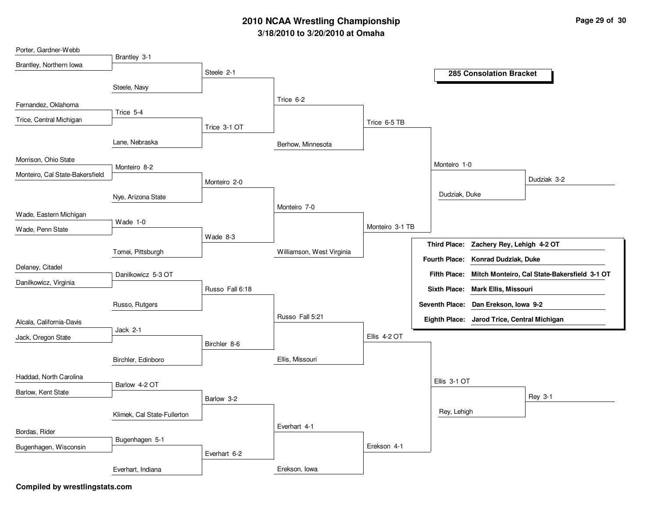## **3/18/2010 to 3/20/2010 at Omaha 2010 NCAA Wrestling Championship Page 29 of 30**

| Porter, Gardner-Webb            |                             |                 |                           |                 |                                             |                                             |                                                           |
|---------------------------------|-----------------------------|-----------------|---------------------------|-----------------|---------------------------------------------|---------------------------------------------|-----------------------------------------------------------|
| Brantley, Northern Iowa         | Brantley 3-1                |                 |                           |                 |                                             |                                             |                                                           |
|                                 |                             | Steele 2-1      |                           |                 |                                             | <b>285 Consolation Bracket</b>              |                                                           |
|                                 | Steele, Navy                |                 |                           |                 |                                             |                                             |                                                           |
| Fernandez, Oklahoma             |                             |                 | Trice 6-2                 |                 |                                             |                                             |                                                           |
| Trice, Central Michigan         | Trice 5-4                   |                 |                           | Trice 6-5 TB    |                                             |                                             |                                                           |
|                                 |                             | Trice 3-1 OT    |                           |                 |                                             |                                             |                                                           |
|                                 | Lane, Nebraska              |                 | Berhow, Minnesota         |                 |                                             |                                             |                                                           |
| Morrison, Ohio State            |                             |                 |                           |                 | Monteiro 1-0                                |                                             |                                                           |
| Monteiro, Cal State-Bakersfield | Monteiro 8-2                |                 |                           |                 |                                             |                                             |                                                           |
|                                 |                             | Monteiro 2-0    |                           |                 |                                             |                                             | Dudziak 3-2                                               |
|                                 | Nye, Arizona State          |                 |                           |                 | Dudziak, Duke                               |                                             |                                                           |
| Wade, Eastern Michigan          |                             |                 | Monteiro 7-0              |                 |                                             |                                             |                                                           |
| Wade, Penn State                | Wade 1-0                    |                 |                           | Monteiro 3-1 TB |                                             |                                             |                                                           |
|                                 |                             | Wade 8-3        |                           |                 |                                             |                                             |                                                           |
|                                 | Tomei, Pittsburgh           |                 | Williamson, West Virginia |                 | <b>Third Place:</b><br><b>Fourth Place:</b> | Zachery Rey, Lehigh 4-2 OT                  |                                                           |
| Delaney, Citadel                |                             |                 |                           |                 |                                             | <b>Konrad Dudziak, Duke</b>                 |                                                           |
| Danilkowicz, Virginia           | Danilkowicz 5-3 OT          |                 |                           |                 |                                             |                                             | Fifth Place: Mitch Monteiro, Cal State-Bakersfield 3-1 OT |
|                                 |                             | Russo Fall 6:18 |                           |                 |                                             | Sixth Place: Mark Ellis, Missouri           |                                                           |
|                                 | Russo, Rutgers              |                 |                           |                 |                                             | Seventh Place: Dan Erekson, Iowa 9-2        |                                                           |
| Alcala, California-Davis        |                             |                 | Russo Fall 5:21           |                 |                                             | Eighth Place: Jarod Trice, Central Michigan |                                                           |
| Jack, Oregon State              | Jack 2-1                    |                 |                           | Ellis 4-2 OT    |                                             |                                             |                                                           |
|                                 |                             | Birchler 8-6    |                           |                 |                                             |                                             |                                                           |
|                                 | Birchler, Edinboro          |                 | Ellis, Missouri           |                 |                                             |                                             |                                                           |
| Haddad, North Carolina          |                             |                 |                           |                 | Ellis 3-1 OT                                |                                             |                                                           |
| Barlow, Kent State              | Barlow 4-2 OT               |                 |                           |                 |                                             |                                             |                                                           |
|                                 |                             | Barlow 3-2      |                           |                 |                                             |                                             | Rey 3-1                                                   |
|                                 | Klimek, Cal State-Fullerton |                 |                           |                 | Rey, Lehigh                                 |                                             |                                                           |
| Bordas, Rider                   |                             |                 | Everhart 4-1              |                 |                                             |                                             |                                                           |
| Bugenhagen, Wisconsin           | Bugenhagen 5-1              |                 |                           | Erekson 4-1     |                                             |                                             |                                                           |
|                                 |                             | Everhart 6-2    |                           |                 |                                             |                                             |                                                           |
|                                 | Everhart, Indiana           |                 | Erekson, Iowa             |                 |                                             |                                             |                                                           |